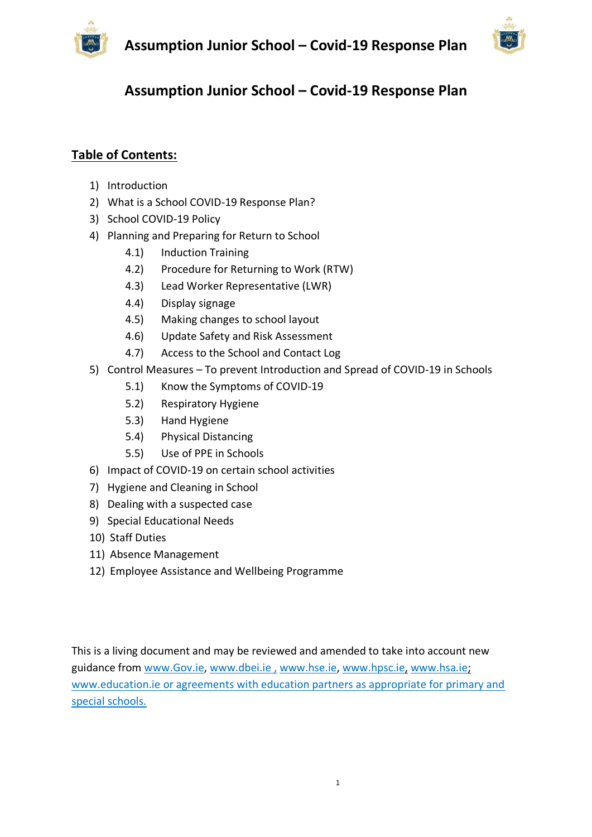



# **Table of Contents:**

- 1) Introduction
- 2) What is a School COVID-19 Response Plan?
- 3) School COVID-19 Policy
- 4) Planning and Preparing for Return to School
	- 4.1) Induction Training
	- 4.2) Procedure for Returning to Work (RTW)
	- 4.3) Lead Worker Representative (LWR)
	- 4.4) Display signage
	- 4.5) Making changes to school layout
	- 4.6) Update Safety and Risk Assessment
	- 4.7) Access to the School and Contact Log
- 5) Control Measures To prevent Introduction and Spread of COVID-19 in Schools
	- 5.1) Know the Symptoms of COVID-19
	- 5.2) Respiratory Hygiene
	- 5.3) Hand Hygiene
	- 5.4) Physical Distancing
	- 5.5) Use of PPE in Schools
- 6) Impact of COVID-19 on certain school activities
- 7) Hygiene and Cleaning in School
- 8) Dealing with a suspected case
- 9) Special Educational Needs
- 10) Staff Duties
- 11) Absence Management
- 12) Employee Assistance and Wellbeing Programme

This is a living document and may be reviewed and amended to take into account new guidance from [www.Gov.ie,](http://www.gov.ie/) [www.dbei.ie](http://www.dbei.ie/) , [www.hse.ie,](http://www.hse.ie/) [www.hpsc.ie,](http://www.hpsc.ie/) [www.hsa.ie;](http://www.hsa.ie/) [www.education.ie](http://www.education.ie/) or agreements with education partners as appropriate for primary and special schools.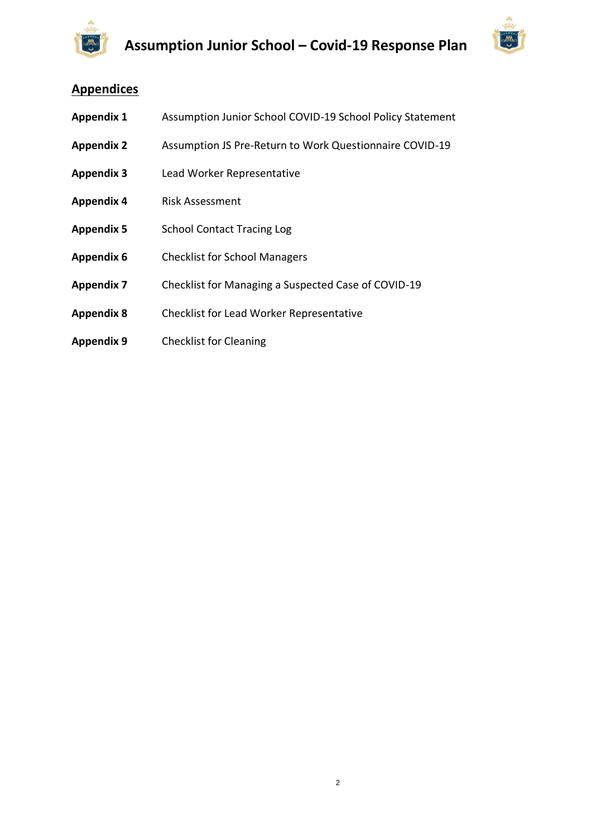



# **Appendices**

| <b>Appendix 1</b> | Assumption Junior School COVID-19 School Policy Statement |
|-------------------|-----------------------------------------------------------|
| <b>Appendix 2</b> | Assumption JS Pre-Return to Work Questionnaire COVID-19   |
| <b>Appendix 3</b> | Lead Worker Representative                                |
| <b>Appendix 4</b> | <b>Risk Assessment</b>                                    |
| <b>Appendix 5</b> | <b>School Contact Tracing Log</b>                         |
| <b>Appendix 6</b> | <b>Checklist for School Managers</b>                      |
| <b>Appendix 7</b> | Checklist for Managing a Suspected Case of COVID-19       |
| <b>Appendix 8</b> | <b>Checklist for Lead Worker Representative</b>           |
| <b>Appendix 9</b> | <b>Checklist for Cleaning</b>                             |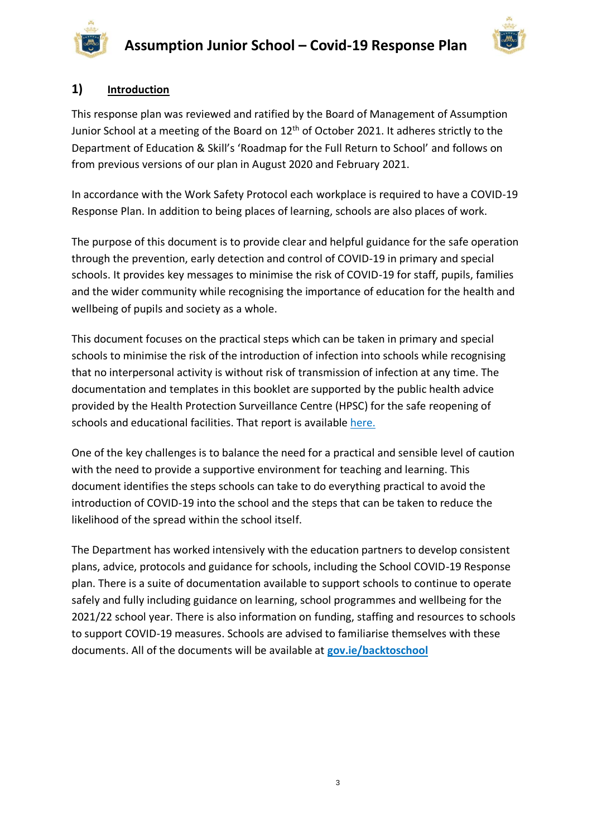



# **1) Introduction**

This response plan was reviewed and ratified by the Board of Management of Assumption Junior School at a meeting of the Board on 12<sup>th</sup> of October 2021. It adheres strictly to the Department of Education & Skill's 'Roadmap for the Full Return to School' and follows on from previous versions of our plan in August 2020 and February 2021.

In accordance with the Work Safety Protocol each workplace is required to have a COVID-19 Response Plan. In addition to being places of learning, schools are also places of work.

The purpose of this document is to provide clear and helpful guidance for the safe operation through the prevention, early detection and control of COVID-19 in primary and special schools. It provides key messages to minimise the risk of COVID-19 for staff, pupils, families and the wider community while recognising the importance of education for the health and wellbeing of pupils and society as a whole.

This document focuses on the practical steps which can be taken in primary and special schools to minimise the risk of the introduction of infection into schools while recognising that no interpersonal activity is without risk of transmission of infection at any time. The documentation and templates in this booklet are supported by the public health advice provided by the Health Protection Surveillance Centre (HPSC) for the safe reopening of schools and educational facilities. That report is available [here.](https://assets.gov.ie/78748/8796d60e-790e-4007-add1-de18e509a3c1.pdf)

One of the key challenges is to balance the need for a practical and sensible level of caution with the need to provide a supportive environment for teaching and learning. This document identifies the steps schools can take to do everything practical to avoid the introduction of COVID-19 into the school and the steps that can be taken to reduce the likelihood of the spread within the school itself.

The Department has worked intensively with the education partners to develop consistent plans, advice, protocols and guidance for schools, including the School COVID-19 Response plan. There is a suite of documentation available to support schools to continue to operate safely and fully including guidance on learning, school programmes and wellbeing for the 2021/22 school year. There is also information on funding, staffing and resources to schools to support COVID-19 measures. Schools are advised to familiarise themselves with these documents. All of the documents will be available at **[gov.ie/backtoschool](http://www.gov.ie/backtoschool)**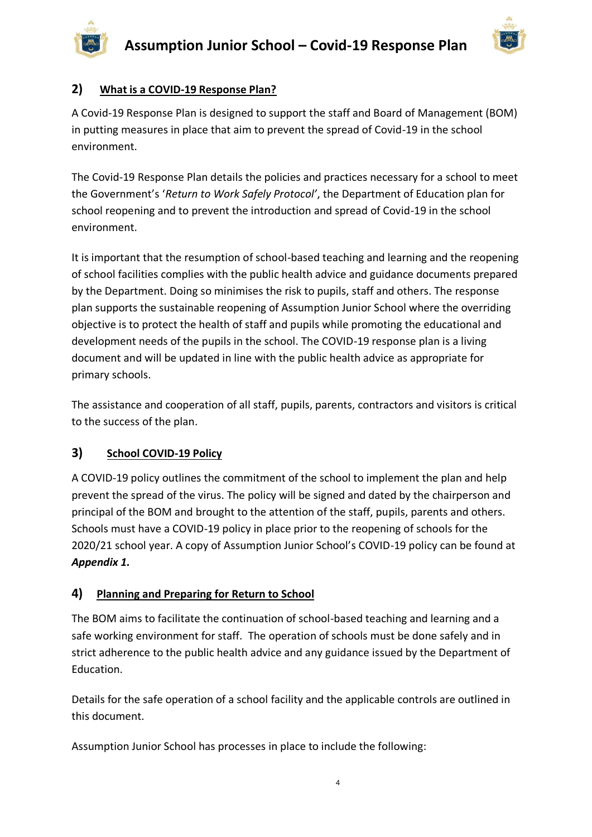



# **2) What is a COVID-19 Response Plan?**

A Covid-19 Response Plan is designed to support the staff and Board of Management (BOM) in putting measures in place that aim to prevent the spread of Covid-19 in the school environment.

The Covid-19 Response Plan details the policies and practices necessary for a school to meet the Government's '*Return to Work Safely Protocol'*, the Department of Education plan for school reopening and to prevent the introduction and spread of Covid-19 in the school environment.

It is important that the resumption of school-based teaching and learning and the reopening of school facilities complies with the public health advice and guidance documents prepared by the Department. Doing so minimises the risk to pupils, staff and others. The response plan supports the sustainable reopening of Assumption Junior School where the overriding objective is to protect the health of staff and pupils while promoting the educational and development needs of the pupils in the school. The COVID-19 response plan is a living document and will be updated in line with the public health advice as appropriate for primary schools.

The assistance and cooperation of all staff, pupils, parents, contractors and visitors is critical to the success of the plan.

# **3) School COVID-19 Policy**

A COVID-19 policy outlines the commitment of the school to implement the plan and help prevent the spread of the virus. The policy will be signed and dated by the chairperson and principal of the BOM and brought to the attention of the staff, pupils, parents and others. Schools must have a COVID-19 policy in place prior to the reopening of schools for the 2020/21 school year. A copy of Assumption Junior School's COVID-19 policy can be found at *Appendix 1.*

# **4) Planning and Preparing for Return to School**

The BOM aims to facilitate the continuation of school-based teaching and learning and a safe working environment for staff. The operation of schools must be done safely and in strict adherence to the public health advice and any guidance issued by the Department of Education.

Details for the safe operation of a school facility and the applicable controls are outlined in this document.

Assumption Junior School has processes in place to include the following: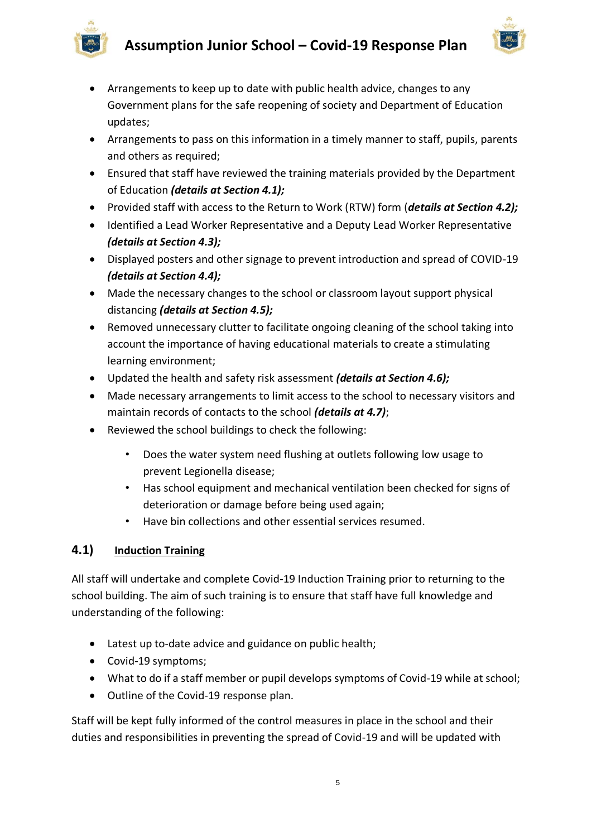



- Arrangements to keep up to date with public health advice, changes to any Government plans for the safe reopening of society and Department of Education updates;
- Arrangements to pass on this information in a timely manner to staff, pupils, parents and others as required;
- Ensured that staff have reviewed the training materials provided by the Department of Education *(details at Section 4.1);*
- Provided staff with access to the Return to Work (RTW) form (*details at Section 4.2);*
- Identified a Lead Worker Representative and a Deputy Lead Worker Representative *(details at Section 4.3);*
- Displayed posters and other signage to prevent introduction and spread of COVID-19 *(details at Section 4.4);*
- Made the necessary changes to the school or classroom layout support physical distancing *(details at Section 4.5);*
- Removed unnecessary clutter to facilitate ongoing cleaning of the school taking into account the importance of having educational materials to create a stimulating learning environment;
- Updated the health and safety risk assessment *(details at Section 4.6);*
- Made necessary arrangements to limit access to the school to necessary visitors and maintain records of contacts to the school *(details at 4.7)*;
- Reviewed the school buildings to check the following:
	- Does the water system need flushing at outlets following low usage to prevent Legionella disease;
	- Has school equipment and mechanical ventilation been checked for signs of deterioration or damage before being used again;
	- Have bin collections and other essential services resumed.

# **4.1) Induction Training**

All staff will undertake and complete Covid-19 Induction Training prior to returning to the school building. The aim of such training is to ensure that staff have full knowledge and understanding of the following:

- Latest up to-date advice and guidance on public health;
- Covid-19 symptoms;
- What to do if a staff member or pupil develops symptoms of Covid-19 while at school;
- Outline of the Covid-19 response plan.

Staff will be kept fully informed of the control measures in place in the school and their duties and responsibilities in preventing the spread of Covid-19 and will be updated with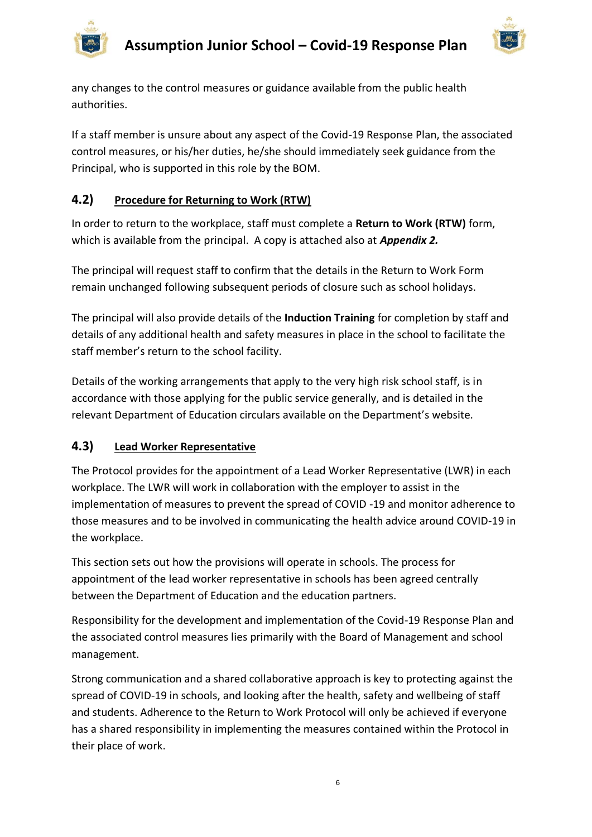

any changes to the control measures or guidance available from the public health authorities.

If a staff member is unsure about any aspect of the Covid-19 Response Plan, the associated control measures, or his/her duties, he/she should immediately seek guidance from the Principal, who is supported in this role by the BOM.

# **4.2) Procedure for Returning to Work (RTW)**

In order to return to the workplace, staff must complete a **Return to Work (RTW)** form, which is available from the principal. A copy is attached also at *Appendix 2.*

The principal will request staff to confirm that the details in the Return to Work Form remain unchanged following subsequent periods of closure such as school holidays.

The principal will also provide details of the **Induction Training** for completion by staff and details of any additional health and safety measures in place in the school to facilitate the staff member's return to the school facility.

Details of the working arrangements that apply to the very high risk school staff, is in accordance with those applying for the public service generally, and is detailed in the relevant Department of Education circulars available on the Department's website.

# **4.3) Lead Worker Representative**

The Protocol provides for the appointment of a Lead Worker Representative (LWR) in each workplace. The LWR will work in collaboration with the employer to assist in the implementation of measures to prevent the spread of COVID -19 and monitor adherence to those measures and to be involved in communicating the health advice around COVID-19 in the workplace.

This section sets out how the provisions will operate in schools. The process for appointment of the lead worker representative in schools has been agreed centrally between the Department of Education and the education partners.

Responsibility for the development and implementation of the Covid-19 Response Plan and the associated control measures lies primarily with the Board of Management and school management.

Strong communication and a shared collaborative approach is key to protecting against the spread of COVID-19 in schools, and looking after the health, safety and wellbeing of staff and students. Adherence to the Return to Work Protocol will only be achieved if everyone has a shared responsibility in implementing the measures contained within the Protocol in their place of work.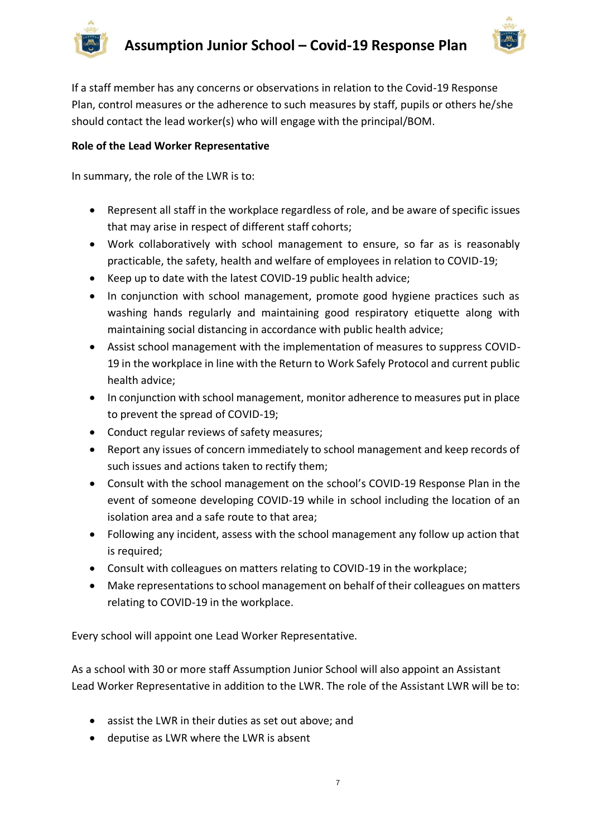



If a staff member has any concerns or observations in relation to the Covid-19 Response Plan, control measures or the adherence to such measures by staff, pupils or others he/she should contact the lead worker(s) who will engage with the principal/BOM.

#### **Role of the Lead Worker Representative**

In summary, the role of the LWR is to:

- Represent all staff in the workplace regardless of role, and be aware of specific issues that may arise in respect of different staff cohorts;
- Work collaboratively with school management to ensure, so far as is reasonably practicable, the safety, health and welfare of employees in relation to COVID-19;
- Keep up to date with the latest COVID-19 public health advice;
- In conjunction with school management, promote good hygiene practices such as washing hands regularly and maintaining good respiratory etiquette along with maintaining social distancing in accordance with public health advice;
- Assist school management with the implementation of measures to suppress COVID-19 in the workplace in line with the Return to Work Safely Protocol and current public health advice;
- In conjunction with school management, monitor adherence to measures put in place to prevent the spread of COVID-19;
- Conduct regular reviews of safety measures;
- Report any issues of concern immediately to school management and keep records of such issues and actions taken to rectify them;
- Consult with the school management on the school's COVID-19 Response Plan in the event of someone developing COVID-19 while in school including the location of an isolation area and a safe route to that area;
- Following any incident, assess with the school management any follow up action that is required;
- Consult with colleagues on matters relating to COVID-19 in the workplace;
- Make representations to school management on behalf of their colleagues on matters relating to COVID-19 in the workplace.

Every school will appoint one Lead Worker Representative.

As a school with 30 or more staff Assumption Junior School will also appoint an Assistant Lead Worker Representative in addition to the LWR. The role of the Assistant LWR will be to:

- assist the LWR in their duties as set out above; and
- deputise as LWR where the LWR is absent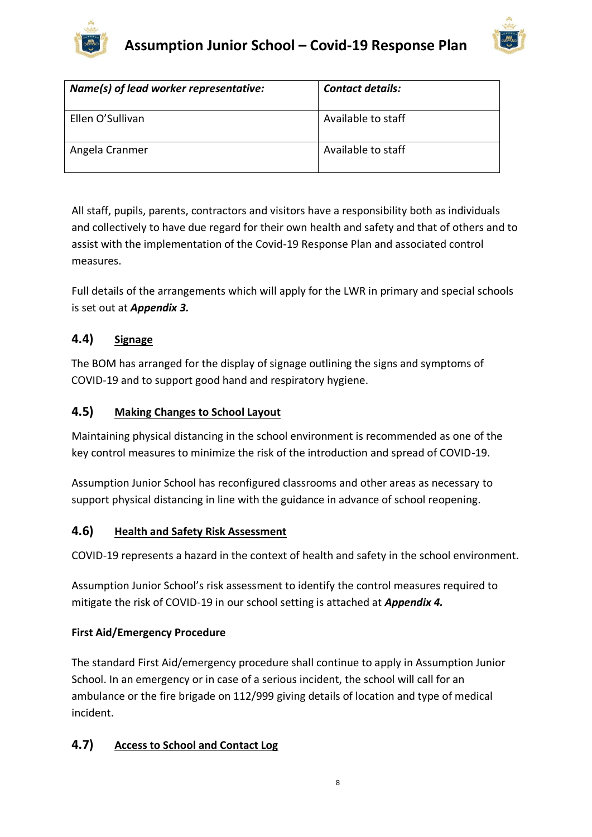



| Name(s) of lead worker representative: | <b>Contact details:</b> |
|----------------------------------------|-------------------------|
| Ellen O'Sullivan                       | Available to staff      |
| Angela Cranmer                         | Available to staff      |

All staff, pupils, parents, contractors and visitors have a responsibility both as individuals and collectively to have due regard for their own health and safety and that of others and to assist with the implementation of the Covid-19 Response Plan and associated control measures.

Full details of the arrangements which will apply for the LWR in primary and special schools is set out at *Appendix 3.*

# **4.4) Signage**

The BOM has arranged for the display of signage outlining the signs and symptoms of COVID-19 and to support good hand and respiratory hygiene.

# **4.5) Making Changes to School Layout**

Maintaining physical distancing in the school environment is recommended as one of the key control measures to minimize the risk of the introduction and spread of COVID-19.

Assumption Junior School has reconfigured classrooms and other areas as necessary to support physical distancing in line with the guidance in advance of school reopening.

# **4.6) Health and Safety Risk Assessment**

COVID-19 represents a hazard in the context of health and safety in the school environment.

Assumption Junior School's risk assessment to identify the control measures required to mitigate the risk of COVID-19 in our school setting is attached at *Appendix 4.*

# **First Aid/Emergency Procedure**

The standard First Aid/emergency procedure shall continue to apply in Assumption Junior School. In an emergency or in case of a serious incident, the school will call for an ambulance or the fire brigade on 112/999 giving details of location and type of medical incident.

# **4.7) Access to School and Contact Log**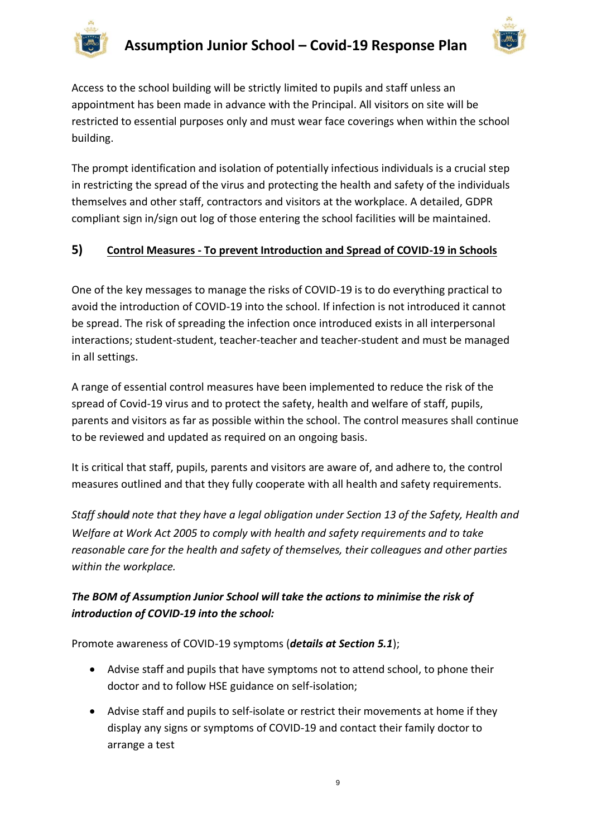



Access to the school building will be strictly limited to pupils and staff unless an appointment has been made in advance with the Principal. All visitors on site will be restricted to essential purposes only and must wear face coverings when within the school building.

The prompt identification and isolation of potentially infectious individuals is a crucial step in restricting the spread of the virus and protecting the health and safety of the individuals themselves and other staff, contractors and visitors at the workplace. A detailed, GDPR compliant sign in/sign out log of those entering the school facilities will be maintained.

# **5) Control Measures - To prevent Introduction and Spread of COVID-19 in Schools**

One of the key messages to manage the risks of COVID-19 is to do everything practical to avoid the introduction of COVID-19 into the school. If infection is not introduced it cannot be spread. The risk of spreading the infection once introduced exists in all interpersonal interactions; student-student, teacher-teacher and teacher-student and must be managed in all settings.

A range of essential control measures have been implemented to reduce the risk of the spread of Covid-19 virus and to protect the safety, health and welfare of staff, pupils, parents and visitors as far as possible within the school. The control measures shall continue to be reviewed and updated as required on an ongoing basis.

It is critical that staff, pupils, parents and visitors are aware of, and adhere to, the control measures outlined and that they fully cooperate with all health and safety requirements.

*Staff should note that they have a legal obligation under Section 13 of the Safety, Health and Welfare at Work Act 2005 to comply with health and safety requirements and to take reasonable care for the health and safety of themselves, their colleagues and other parties within the workplace.* 

# *The BOM of Assumption Junior School will take the actions to minimise the risk of introduction of COVID-19 into the school:*

Promote awareness of COVID-19 symptoms (*details at Section 5.1*);

- Advise staff and pupils that have symptoms not to attend school, to phone their doctor and to follow HSE guidance on self-isolation;
- Advise staff and pupils to self-isolate or restrict their movements at home if they display any signs or symptoms of COVID-19 and contact their family doctor to arrange a test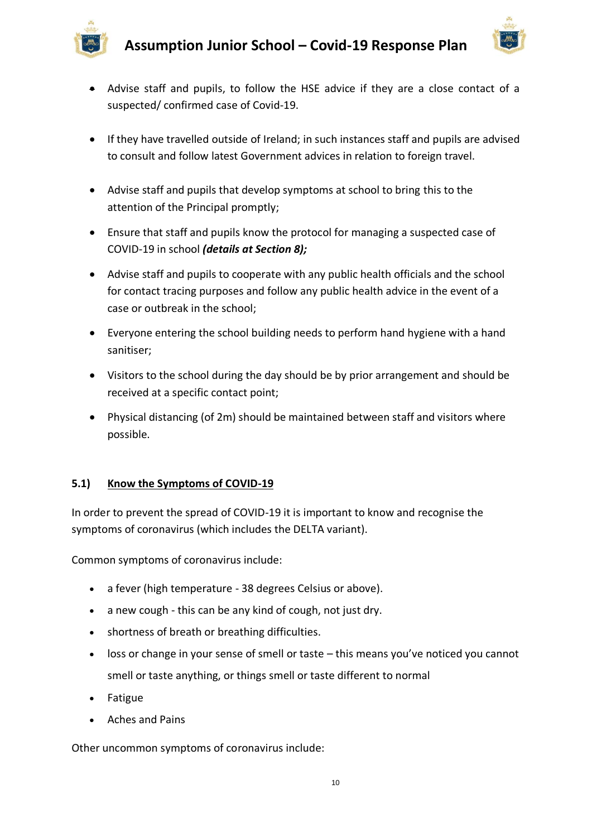

- - Advise staff and pupils, to follow the HSE advice if they are a close contact of a suspected/ confirmed case of Covid-19.
	- If they have travelled outside of Ireland; in such instances staff and pupils are advised to consult and follow latest Government advices in relation to foreign travel.
	- Advise staff and pupils that develop symptoms at school to bring this to the attention of the Principal promptly;
	- Ensure that staff and pupils know the protocol for managing a suspected case of COVID-19 in school *(details at Section 8);*
	- Advise staff and pupils to cooperate with any public health officials and the school for contact tracing purposes and follow any public health advice in the event of a case or outbreak in the school;
	- Everyone entering the school building needs to perform hand hygiene with a hand sanitiser;
	- Visitors to the school during the day should be by prior arrangement and should be received at a specific contact point;
	- Physical distancing (of 2m) should be maintained between staff and visitors where possible.

# **5.1) Know the Symptoms of COVID-19**

In order to prevent the spread of COVID-19 it is important to know and recognise the symptoms of coronavirus (which includes the DELTA variant).

Common symptoms of coronavirus include:

- a fever (high temperature 38 degrees Celsius or above).
- a new cough this can be any kind of cough, not just dry.
- shortness of breath or breathing difficulties.
- loss or change in your sense of smell or taste this means you've noticed you cannot smell or taste anything, or things smell or taste different to normal
- Fatigue
- Aches and Pains

Other uncommon symptoms of coronavirus include: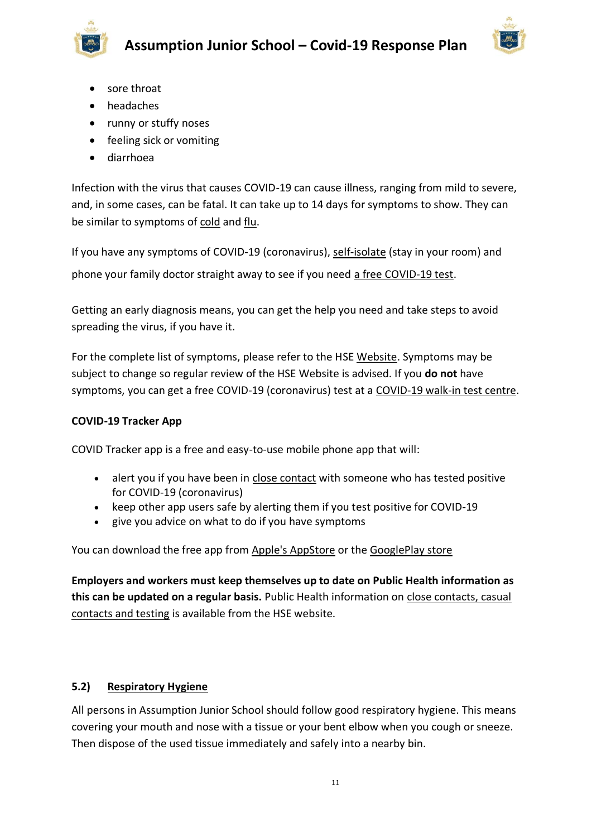

- sore throat
- headaches
- runny or stuffy noses
- feeling sick or vomiting
- diarrhoea

Infection with the virus that causes COVID-19 can cause illness, ranging from mild to severe, and, in some cases, can be fatal. It can take up to 14 days for symptoms to show. They can be similar to symptoms of [cold](https://www2.hse.ie/conditions/common-cold.html) and [flu.](https://www2.hse.ie/conditions/flu/flu-symptoms-and-diagnosis.html)

If you have any symptoms of COVID-19 (coronavirus), [self-isolate](https://www2.hse.ie/conditions/coronavirus/self-isolation/how-to-self-isolate.html) (stay in your room) and phone your family doctor straight away to see if you need [a free COVID-19 test.](https://www2.hse.ie/conditions/coronavirus/testing/how-to-get-tested.html)

Getting an early diagnosis means, you can get the help you need and take steps to avoid spreading the virus, if you have it.

For the complete list of symptoms, please refer to the HSE [Website.](https://www2.hse.ie/conditions/coronavirus/symptoms.html) Symptoms may be subject to change so regular review of the HSE Website is advised. If you **do not** have symptoms, you can get a free COVID-19 (coronavirus) test at a [COVID-19 walk-in test centre.](https://www2.hse.ie/conditions/coronavirus/testing/covid-19-walk-in-test-centres.html)

# **COVID-19 Tracker App**

COVID Tracker app is a free and easy-to-use mobile phone app that will:

- alert you if you have been in [close contact](https://www2.hse.ie/conditions/coronavirus/close-contact-and-casual-contact.html) with someone who has tested positive for COVID-19 (coronavirus)
- keep other app users safe by alerting them if you test positive for COVID-19
- give you advice on what to do if you have symptoms

You can download the free app from [Apple's AppStore](https://apps.apple.com/ie/app/covid-tracker-ireland/id1505596721) or the [GooglePlay store](https://play.google.com/store/apps/details?id=com.covidtracker.hse)

**Employers and workers must keep themselves up to date on Public Health information as this can be updated on a regular basis.** Public Health information on [close contacts, casual](https://www2.hse.ie/conditions/coronavirus/close-contact-and-casual-contact.html)  [contacts and testing](https://www2.hse.ie/conditions/coronavirus/close-contact-and-casual-contact.html) is available from the HSE website.

# **5.2) Respiratory Hygiene**

All persons in Assumption Junior School should follow good respiratory hygiene. This means covering your mouth and nose with a tissue or your bent elbow when you cough or sneeze. Then dispose of the used tissue immediately and safely into a nearby bin.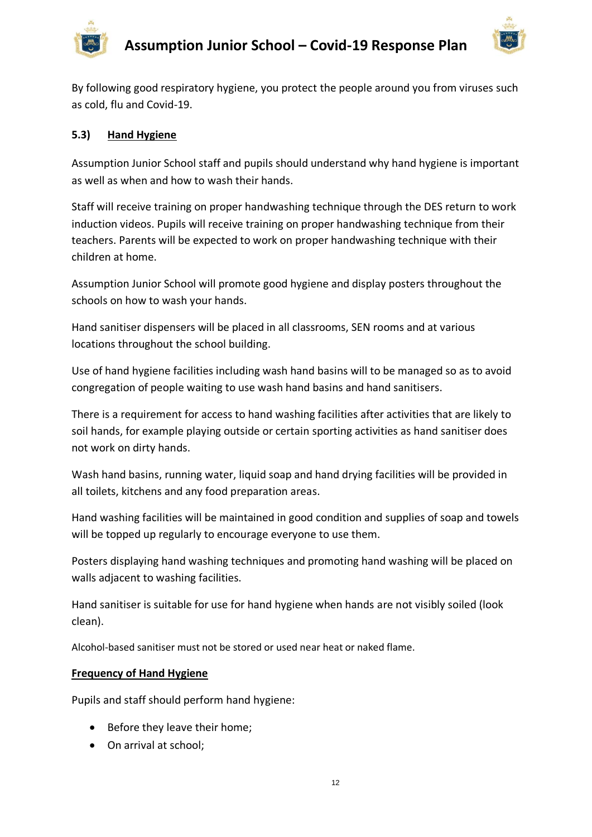

By following good respiratory hygiene, you protect the people around you from viruses such as cold, flu and Covid-19.

#### **5.3) Hand Hygiene**

Assumption Junior School staff and pupils should understand why hand hygiene is important as well as when and how to wash their hands.

Staff will receive training on proper handwashing technique through the DES return to work induction videos. Pupils will receive training on proper handwashing technique from their teachers. Parents will be expected to work on proper handwashing technique with their children at home.

Assumption Junior School will promote good hygiene and display posters throughout the schools on how to wash your hands.

Hand sanitiser dispensers will be placed in all classrooms, SEN rooms and at various locations throughout the school building.

Use of hand hygiene facilities including wash hand basins will to be managed so as to avoid congregation of people waiting to use wash hand basins and hand sanitisers.

There is a requirement for access to hand washing facilities after activities that are likely to soil hands, for example playing outside or certain sporting activities as hand sanitiser does not work on dirty hands.

Wash hand basins, running water, liquid soap and hand drying facilities will be provided in all toilets, kitchens and any food preparation areas.

Hand washing facilities will be maintained in good condition and supplies of soap and towels will be topped up regularly to encourage everyone to use them.

Posters displaying hand washing techniques and promoting hand washing will be placed on walls adjacent to washing facilities.

Hand sanitiser is suitable for use for hand hygiene when hands are not visibly soiled (look clean).

Alcohol-based sanitiser must not be stored or used near heat or naked flame.

#### **Frequency of Hand Hygiene**

Pupils and staff should perform hand hygiene:

- Before they leave their home;
- On arrival at school;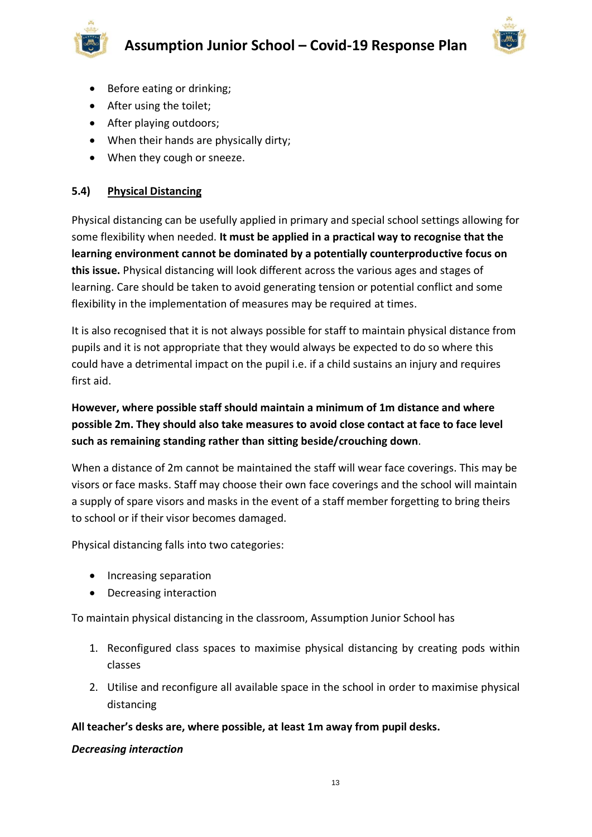



- Before eating or drinking;
- After using the toilet;
- After playing outdoors;
- When their hands are physically dirty;
- When they cough or sneeze.

#### **5.4) Physical Distancing**

Physical distancing can be usefully applied in primary and special school settings allowing for some flexibility when needed. **It must be applied in a practical way to recognise that the learning environment cannot be dominated by a potentially counterproductive focus on this issue.** Physical distancing will look different across the various ages and stages of learning. Care should be taken to avoid generating tension or potential conflict and some flexibility in the implementation of measures may be required at times.

It is also recognised that it is not always possible for staff to maintain physical distance from pupils and it is not appropriate that they would always be expected to do so where this could have a detrimental impact on the pupil i.e. if a child sustains an injury and requires first aid.

# **However, where possible staff should maintain a minimum of 1m distance and where possible 2m. They should also take measures to avoid close contact at face to face level such as remaining standing rather than sitting beside/crouching down**.

When a distance of 2m cannot be maintained the staff will wear face coverings. This may be visors or face masks. Staff may choose their own face coverings and the school will maintain a supply of spare visors and masks in the event of a staff member forgetting to bring theirs to school or if their visor becomes damaged.

Physical distancing falls into two categories:

- Increasing separation
- Decreasing interaction

To maintain physical distancing in the classroom, Assumption Junior School has

- 1. Reconfigured class spaces to maximise physical distancing by creating pods within classes
- 2. Utilise and reconfigure all available space in the school in order to maximise physical distancing

# **All teacher's desks are, where possible, at least 1m away from pupil desks.**

#### *Decreasing interaction*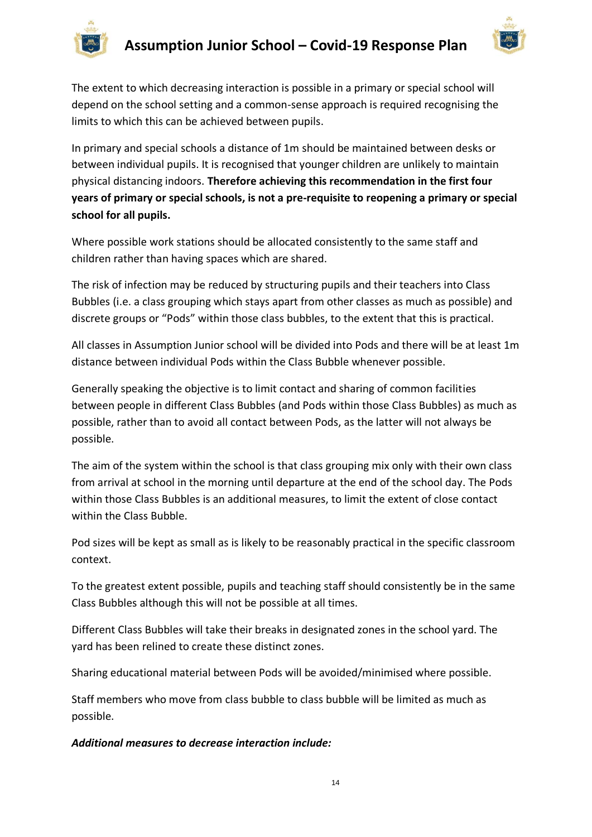



The extent to which decreasing interaction is possible in a primary or special school will depend on the school setting and a common-sense approach is required recognising the limits to which this can be achieved between pupils.

In primary and special schools a distance of 1m should be maintained between desks or between individual pupils. It is recognised that younger children are unlikely to maintain physical distancing indoors. **Therefore achieving this recommendation in the first four years of primary or special schools, is not a pre-requisite to reopening a primary or special school for all pupils.** 

Where possible work stations should be allocated consistently to the same staff and children rather than having spaces which are shared.

The risk of infection may be reduced by structuring pupils and their teachers into Class Bubbles (i.e. a class grouping which stays apart from other classes as much as possible) and discrete groups or "Pods" within those class bubbles, to the extent that this is practical.

All classes in Assumption Junior school will be divided into Pods and there will be at least 1m distance between individual Pods within the Class Bubble whenever possible.

Generally speaking the objective is to limit contact and sharing of common facilities between people in different Class Bubbles (and Pods within those Class Bubbles) as much as possible, rather than to avoid all contact between Pods, as the latter will not always be possible.

The aim of the system within the school is that class grouping mix only with their own class from arrival at school in the morning until departure at the end of the school day. The Pods within those Class Bubbles is an additional measures, to limit the extent of close contact within the Class Bubble.

Pod sizes will be kept as small as is likely to be reasonably practical in the specific classroom context.

To the greatest extent possible, pupils and teaching staff should consistently be in the same Class Bubbles although this will not be possible at all times.

Different Class Bubbles will take their breaks in designated zones in the school yard. The yard has been relined to create these distinct zones.

Sharing educational material between Pods will be avoided/minimised where possible.

Staff members who move from class bubble to class bubble will be limited as much as possible.

# *Additional measures to decrease interaction include:*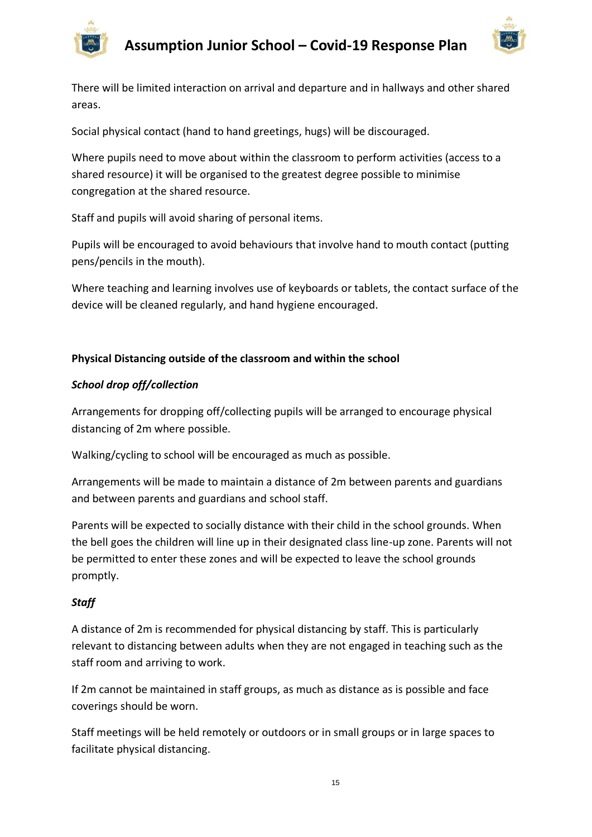



There will be limited interaction on arrival and departure and in hallways and other shared areas.

Social physical contact (hand to hand greetings, hugs) will be discouraged.

Where pupils need to move about within the classroom to perform activities (access to a shared resource) it will be organised to the greatest degree possible to minimise congregation at the shared resource.

Staff and pupils will avoid sharing of personal items.

Pupils will be encouraged to avoid behaviours that involve hand to mouth contact (putting pens/pencils in the mouth).

Where teaching and learning involves use of keyboards or tablets, the contact surface of the device will be cleaned regularly, and hand hygiene encouraged.

#### **Physical Distancing outside of the classroom and within the school**

#### *School drop off/collection*

Arrangements for dropping off/collecting pupils will be arranged to encourage physical distancing of 2m where possible.

Walking/cycling to school will be encouraged as much as possible.

Arrangements will be made to maintain a distance of 2m between parents and guardians and between parents and guardians and school staff.

Parents will be expected to socially distance with their child in the school grounds. When the bell goes the children will line up in their designated class line-up zone. Parents will not be permitted to enter these zones and will be expected to leave the school grounds promptly.

#### *Staff*

A distance of 2m is recommended for physical distancing by staff. This is particularly relevant to distancing between adults when they are not engaged in teaching such as the staff room and arriving to work.

If 2m cannot be maintained in staff groups, as much as distance as is possible and face coverings should be worn.

Staff meetings will be held remotely or outdoors or in small groups or in large spaces to facilitate physical distancing.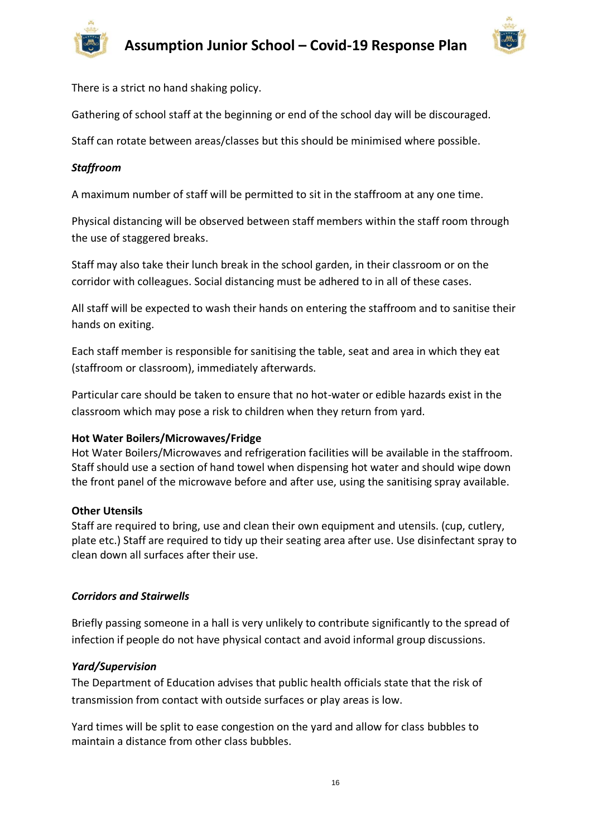



There is a strict no hand shaking policy.

Gathering of school staff at the beginning or end of the school day will be discouraged.

Staff can rotate between areas/classes but this should be minimised where possible.

#### *Staffroom*

A maximum number of staff will be permitted to sit in the staffroom at any one time.

Physical distancing will be observed between staff members within the staff room through the use of staggered breaks.

Staff may also take their lunch break in the school garden, in their classroom or on the corridor with colleagues. Social distancing must be adhered to in all of these cases.

All staff will be expected to wash their hands on entering the staffroom and to sanitise their hands on exiting.

Each staff member is responsible for sanitising the table, seat and area in which they eat (staffroom or classroom), immediately afterwards.

Particular care should be taken to ensure that no hot-water or edible hazards exist in the classroom which may pose a risk to children when they return from yard.

#### **Hot Water Boilers/Microwaves/Fridge**

Hot Water Boilers/Microwaves and refrigeration facilities will be available in the staffroom. Staff should use a section of hand towel when dispensing hot water and should wipe down the front panel of the microwave before and after use, using the sanitising spray available.

#### **Other Utensils**

Staff are required to bring, use and clean their own equipment and utensils. (cup, cutlery, plate etc.) Staff are required to tidy up their seating area after use. Use disinfectant spray to clean down all surfaces after their use.

#### *Corridors and Stairwells*

Briefly passing someone in a hall is very unlikely to contribute significantly to the spread of infection if people do not have physical contact and avoid informal group discussions.

#### *Yard/Supervision*

The Department of Education advises that public health officials state that the risk of transmission from contact with outside surfaces or play areas is low.

Yard times will be split to ease congestion on the yard and allow for class bubbles to maintain a distance from other class bubbles.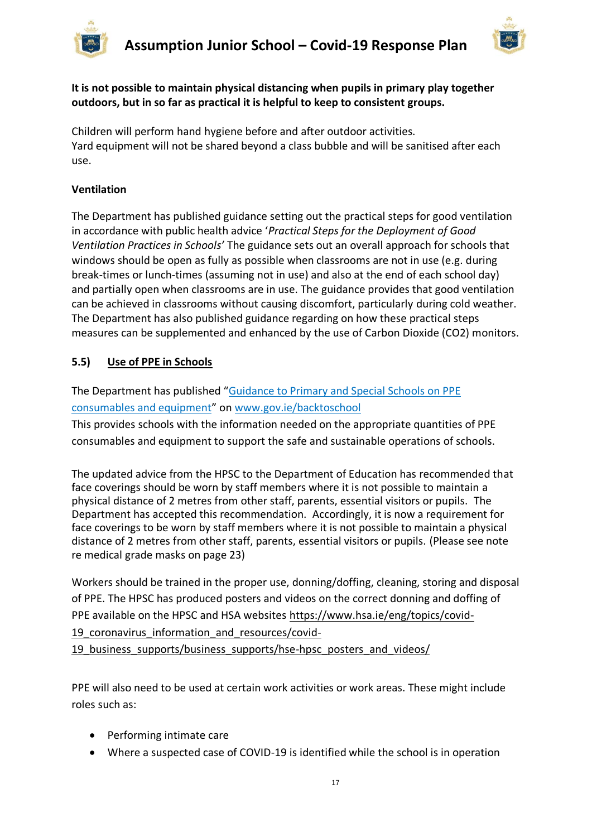



**It is not possible to maintain physical distancing when pupils in primary play together outdoors, but in so far as practical it is helpful to keep to consistent groups.**

Children will perform hand hygiene before and after outdoor activities. Yard equipment will not be shared beyond a class bubble and will be sanitised after each use.

#### **Ventilation**

The Department has published guidance setting out the practical steps for good ventilation in accordance with public health advice '*Practical Steps for the Deployment of Good Ventilation Practices in Schools'* The guidance sets out an overall approach for schools that windows should be open as fully as possible when classrooms are not in use (e.g. during break-times or lunch-times (assuming not in use) and also at the end of each school day) and partially open when classrooms are in use. The guidance provides that good ventilation can be achieved in classrooms without causing discomfort, particularly during cold weather. The Department has also published guidance regarding on how these practical steps measures can be supplemented and enhanced by the use of Carbon Dioxide (CO2) monitors.

# **5.5) Use of PPE in Schools**

The Department has published "[Guidance to Primary and Special Schools on PPE](https://assets.gov.ie/83497/d48ade18-daa1-4610-9390-46e7312a9831.pdf)  [consumables and equipment](https://assets.gov.ie/83497/d48ade18-daa1-4610-9390-46e7312a9831.pdf)" on [www.gov.ie/backtoschool](http://www.gov.ie/backtoschool)

This provides schools with the information needed on the appropriate quantities of PPE consumables and equipment to support the safe and sustainable operations of schools.

The updated advice from the HPSC to the Department of Education has recommended that face coverings should be worn by staff members where it is not possible to maintain a physical distance of 2 metres from other staff, parents, essential visitors or pupils. The Department has accepted this recommendation. Accordingly, it is now a requirement for face coverings to be worn by staff members where it is not possible to maintain a physical distance of 2 metres from other staff, parents, essential visitors or pupils. (Please see note re medical grade masks on page 23)

Workers should be trained in the proper use, donning/doffing, cleaning, storing and disposal of PPE. The HPSC has produced posters and videos on the correct donning and doffing of PPE available on the HPSC and HSA websites [https://www.hsa.ie/eng/topics/covid-](https://www.hsa.ie/eng/topics/covid-19_coronavirus_information_and_resources/covid-19_business_supports/business_supports/hse-hpsc_posters_and_videos/)

19 coronavirus information and resources/covid-

19 business supports/business supports/hse-hpsc posters and videos/

PPE will also need to be used at certain work activities or work areas. These might include roles such as:

- Performing intimate care
- Where a suspected case of COVID-19 is identified while the school is in operation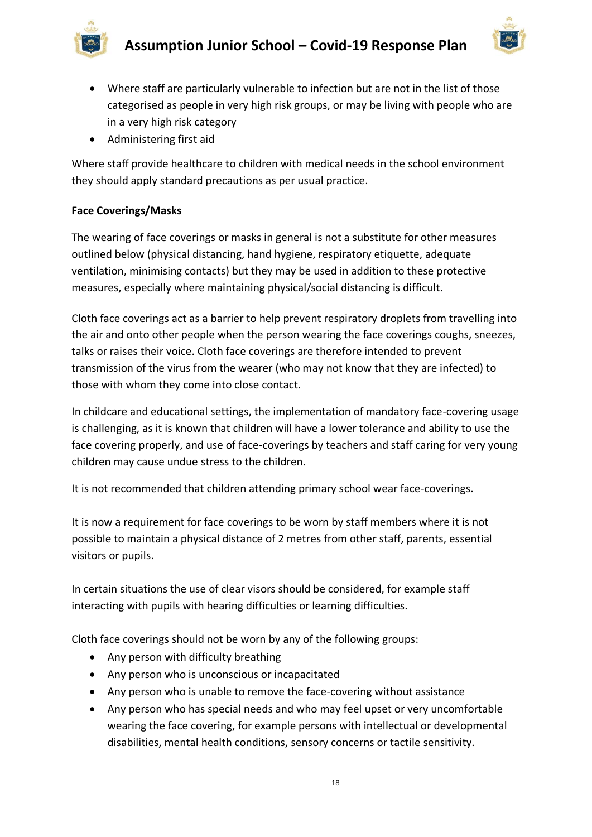



- Where staff are particularly vulnerable to infection but are not in the list of those categorised as people in very high risk groups, or may be living with people who are in a very high risk category
- Administering first aid

Where staff provide healthcare to children with medical needs in the school environment they should apply standard precautions as per usual practice.

# **Face Coverings/Masks**

The wearing of face coverings or masks in general is not a substitute for other measures outlined below (physical distancing, hand hygiene, respiratory etiquette, adequate ventilation, minimising contacts) but they may be used in addition to these protective measures, especially where maintaining physical/social distancing is difficult.

Cloth face coverings act as a barrier to help prevent respiratory droplets from travelling into the air and onto other people when the person wearing the face coverings coughs, sneezes, talks or raises their voice. Cloth face coverings are therefore intended to prevent transmission of the virus from the wearer (who may not know that they are infected) to those with whom they come into close contact.

In childcare and educational settings, the implementation of mandatory face-covering usage is challenging, as it is known that children will have a lower tolerance and ability to use the face covering properly, and use of face-coverings by teachers and staff caring for very young children may cause undue stress to the children.

It is not recommended that children attending primary school wear face-coverings.

It is now a requirement for face coverings to be worn by staff members where it is not possible to maintain a physical distance of 2 metres from other staff, parents, essential visitors or pupils.

In certain situations the use of clear visors should be considered, for example staff interacting with pupils with hearing difficulties or learning difficulties.

Cloth face coverings should not be worn by any of the following groups:

- Any person with difficulty breathing
- Any person who is unconscious or incapacitated
- Any person who is unable to remove the face-covering without assistance
- Any person who has special needs and who may feel upset or very uncomfortable wearing the face covering, for example persons with intellectual or developmental disabilities, mental health conditions, sensory concerns or tactile sensitivity.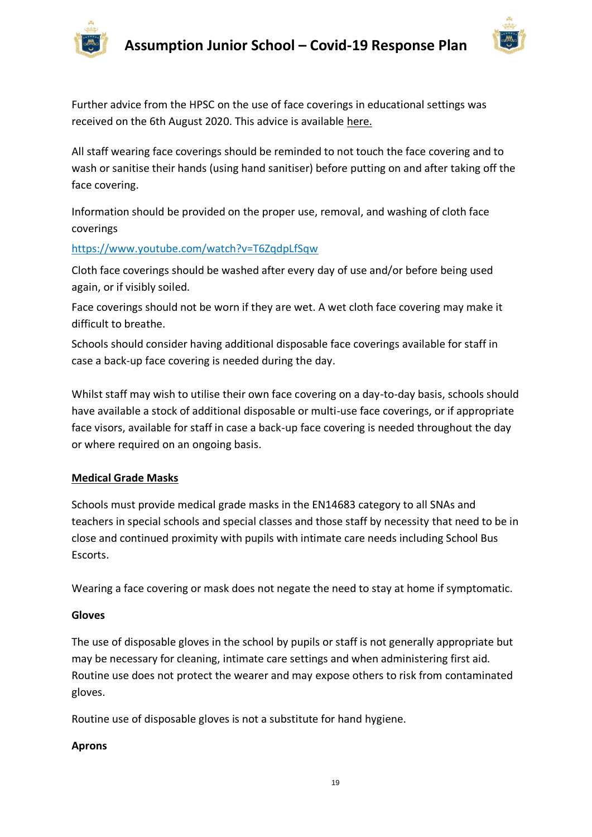



Further advice from the HPSC on the use of face coverings in educational settings was received on the 6th August 2020. This advice is available [here.](https://assets.gov.ie/83506/86fba2a7-26da-4c19-bce3-b0d01aaaf59b.pdf)

All staff wearing face coverings should be reminded to not touch the face covering and to wash or sanitise their hands (using hand sanitiser) before putting on and after taking off the face covering.

Information should be provided on the proper use, removal, and washing of cloth face coverings

#### <https://www.youtube.com/watch?v=T6ZqdpLfSqw>

Cloth face coverings should be washed after every day of use and/or before being used again, or if visibly soiled.

Face coverings should not be worn if they are wet. A wet cloth face covering may make it difficult to breathe.

Schools should consider having additional disposable face coverings available for staff in case a back-up face covering is needed during the day.

Whilst staff may wish to utilise their own face covering on a day-to-day basis, schools should have available a stock of additional disposable or multi-use face coverings, or if appropriate face visors, available for staff in case a back-up face covering is needed throughout the day or where required on an ongoing basis.

#### **Medical Grade Masks**

Schools must provide medical grade masks in the EN14683 category to all SNAs and teachers in special schools and special classes and those staff by necessity that need to be in close and continued proximity with pupils with intimate care needs including School Bus Escorts.

Wearing a face covering or mask does not negate the need to stay at home if symptomatic.

#### **Gloves**

The use of disposable gloves in the school by pupils or staff is not generally appropriate but may be necessary for cleaning, intimate care settings and when administering first aid. Routine use does not protect the wearer and may expose others to risk from contaminated gloves.

Routine use of disposable gloves is not a substitute for hand hygiene.

#### **Aprons**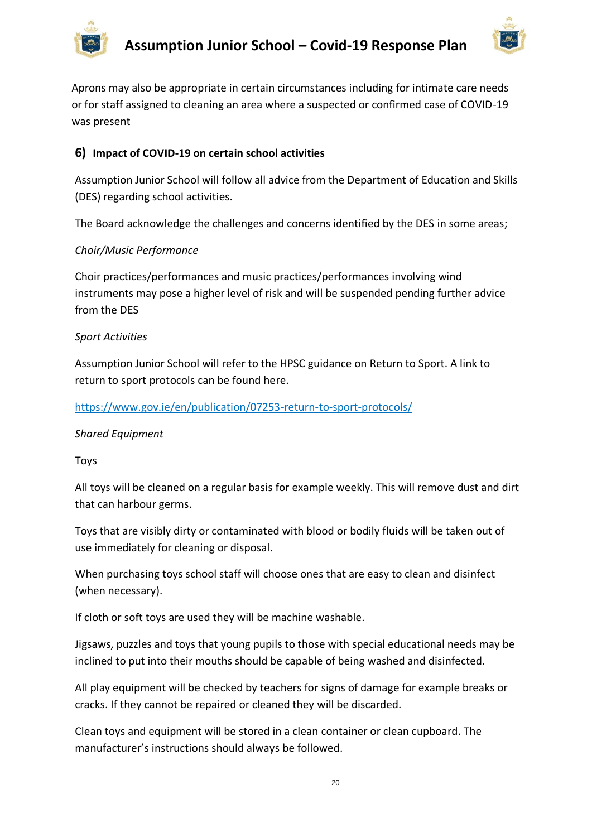



Aprons may also be appropriate in certain circumstances including for intimate care needs or for staff assigned to cleaning an area where a suspected or confirmed case of COVID-19 was present

# **6) Impact of COVID-19 on certain school activities**

Assumption Junior School will follow all advice from the Department of Education and Skills (DES) regarding school activities.

The Board acknowledge the challenges and concerns identified by the DES in some areas;

#### *Choir/Music Performance*

Choir practices/performances and music practices/performances involving wind instruments may pose a higher level of risk and will be suspended pending further advice from the DES

#### *Sport Activities*

Assumption Junior School will refer to the HPSC guidance on Return to Sport. A link to return to sport protocols can be found here.

#### <https://www.gov.ie/en/publication/07253-return-to-sport-protocols/>

#### *Shared Equipment*

**Toys** 

All toys will be cleaned on a regular basis for example weekly. This will remove dust and dirt that can harbour germs.

Toys that are visibly dirty or contaminated with blood or bodily fluids will be taken out of use immediately for cleaning or disposal.

When purchasing toys school staff will choose ones that are easy to clean and disinfect (when necessary).

If cloth or soft toys are used they will be machine washable.

Jigsaws, puzzles and toys that young pupils to those with special educational needs may be inclined to put into their mouths should be capable of being washed and disinfected.

All play equipment will be checked by teachers for signs of damage for example breaks or cracks. If they cannot be repaired or cleaned they will be discarded.

Clean toys and equipment will be stored in a clean container or clean cupboard. The manufacturer's instructions should always be followed.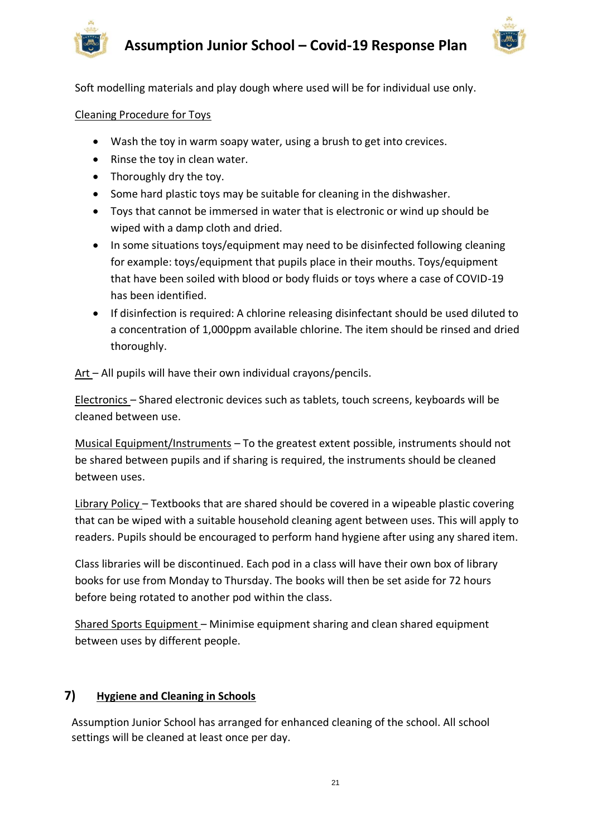

Soft modelling materials and play dough where used will be for individual use only.

#### Cleaning Procedure for Toys

- Wash the toy in warm soapy water, using a brush to get into crevices.
- Rinse the toy in clean water.
- Thoroughly dry the toy.
- Some hard plastic toys may be suitable for cleaning in the dishwasher.
- Toys that cannot be immersed in water that is electronic or wind up should be wiped with a damp cloth and dried.
- In some situations toys/equipment may need to be disinfected following cleaning for example: toys/equipment that pupils place in their mouths. Toys/equipment that have been soiled with blood or body fluids or toys where a case of COVID-19 has been identified.
- If disinfection is required: A chlorine releasing disinfectant should be used diluted to a concentration of 1,000ppm available chlorine. The item should be rinsed and dried thoroughly.

Art – All pupils will have their own individual crayons/pencils.

Electronics – Shared electronic devices such as tablets, touch screens, keyboards will be cleaned between use.

Musical Equipment/Instruments – To the greatest extent possible, instruments should not be shared between pupils and if sharing is required, the instruments should be cleaned between uses.

Library Policy – Textbooks that are shared should be covered in a wipeable plastic covering that can be wiped with a suitable household cleaning agent between uses. This will apply to readers. Pupils should be encouraged to perform hand hygiene after using any shared item.

Class libraries will be discontinued. Each pod in a class will have their own box of library books for use from Monday to Thursday. The books will then be set aside for 72 hours before being rotated to another pod within the class.

Shared Sports Equipment – Minimise equipment sharing and clean shared equipment between uses by different people.

# **7) Hygiene and Cleaning in Schools**

Assumption Junior School has arranged for enhanced cleaning of the school. All school settings will be cleaned at least once per day.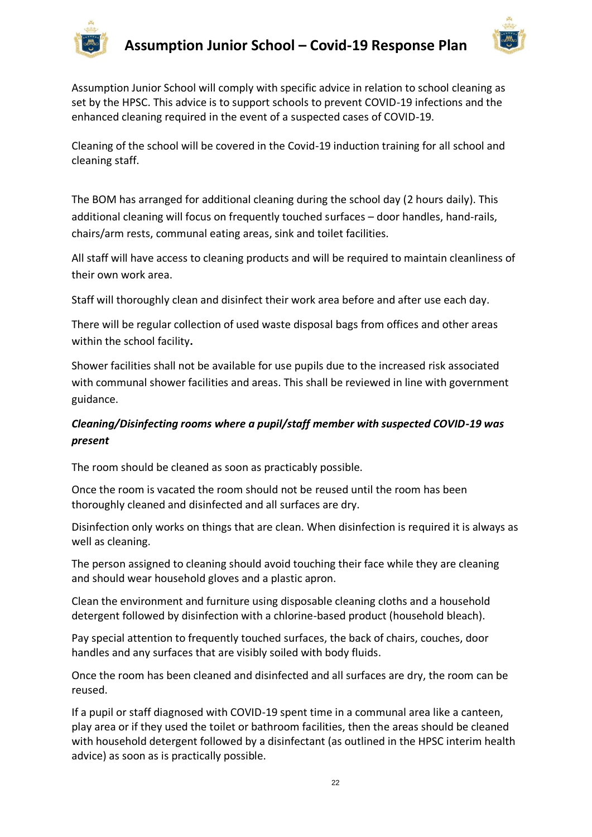



Assumption Junior School will comply with specific advice in relation to school cleaning as set by the HPSC. This advice is to support schools to prevent COVID-19 infections and the enhanced cleaning required in the event of a suspected cases of COVID-19.

Cleaning of the school will be covered in the Covid-19 induction training for all school and cleaning staff.

The BOM has arranged for additional cleaning during the school day (2 hours daily). This additional cleaning will focus on frequently touched surfaces – door handles, hand-rails, chairs/arm rests, communal eating areas, sink and toilet facilities.

All staff will have access to cleaning products and will be required to maintain cleanliness of their own work area.

Staff will thoroughly clean and disinfect their work area before and after use each day.

There will be regular collection of used waste disposal bags from offices and other areas within the school facility**.** 

Shower facilities shall not be available for use pupils due to the increased risk associated with communal shower facilities and areas. This shall be reviewed in line with government guidance.

# *Cleaning/Disinfecting rooms where a pupil/staff member with suspected COVID-19 was present*

The room should be cleaned as soon as practicably possible.

Once the room is vacated the room should not be reused until the room has been thoroughly cleaned and disinfected and all surfaces are dry.

Disinfection only works on things that are clean. When disinfection is required it is always as well as cleaning.

The person assigned to cleaning should avoid touching their face while they are cleaning and should wear household gloves and a plastic apron.

Clean the environment and furniture using disposable cleaning cloths and a household detergent followed by disinfection with a chlorine-based product (household bleach).

Pay special attention to frequently touched surfaces, the back of chairs, couches, door handles and any surfaces that are visibly soiled with body fluids.

Once the room has been cleaned and disinfected and all surfaces are dry, the room can be reused.

If a pupil or staff diagnosed with COVID-19 spent time in a communal area like a canteen, play area or if they used the toilet or bathroom facilities, then the areas should be cleaned with household detergent followed by a disinfectant (as outlined in the HPSC interim health advice) as soon as is practically possible.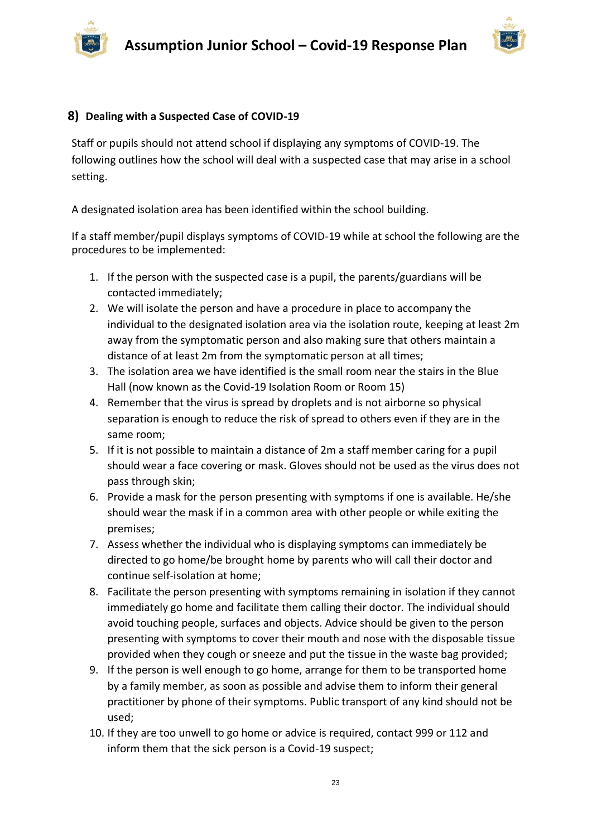



#### **8) Dealing with a Suspected Case of COVID-19**

Staff or pupils should not attend school if displaying any symptoms of COVID-19. The following outlines how the school will deal with a suspected case that may arise in a school setting.

A designated isolation area has been identified within the school building.

If a staff member/pupil displays symptoms of COVID-19 while at school the following are the procedures to be implemented:

- 1. If the person with the suspected case is a pupil, the parents/guardians will be contacted immediately;
- 2. We will isolate the person and have a procedure in place to accompany the individual to the designated isolation area via the isolation route, keeping at least 2m away from the symptomatic person and also making sure that others maintain a distance of at least 2m from the symptomatic person at all times;
- 3. The isolation area we have identified is the small room near the stairs in the Blue Hall (now known as the Covid-19 Isolation Room or Room 15)
- 4. Remember that the virus is spread by droplets and is not airborne so physical separation is enough to reduce the risk of spread to others even if they are in the same room;
- 5. If it is not possible to maintain a distance of 2m a staff member caring for a pupil should wear a face covering or mask. Gloves should not be used as the virus does not pass through skin;
- 6. Provide a mask for the person presenting with symptoms if one is available. He/she should wear the mask if in a common area with other people or while exiting the premises;
- 7. Assess whether the individual who is displaying symptoms can immediately be directed to go home/be brought home by parents who will call their doctor and continue self-isolation at home;
- 8. Facilitate the person presenting with symptoms remaining in isolation if they cannot immediately go home and facilitate them calling their doctor. The individual should avoid touching people, surfaces and objects. Advice should be given to the person presenting with symptoms to cover their mouth and nose with the disposable tissue provided when they cough or sneeze and put the tissue in the waste bag provided;
- 9. If the person is well enough to go home, arrange for them to be transported home by a family member, as soon as possible and advise them to inform their general practitioner by phone of their symptoms. Public transport of any kind should not be used;
- 10. If they are too unwell to go home or advice is required, contact 999 or 112 and inform them that the sick person is a Covid-19 suspect;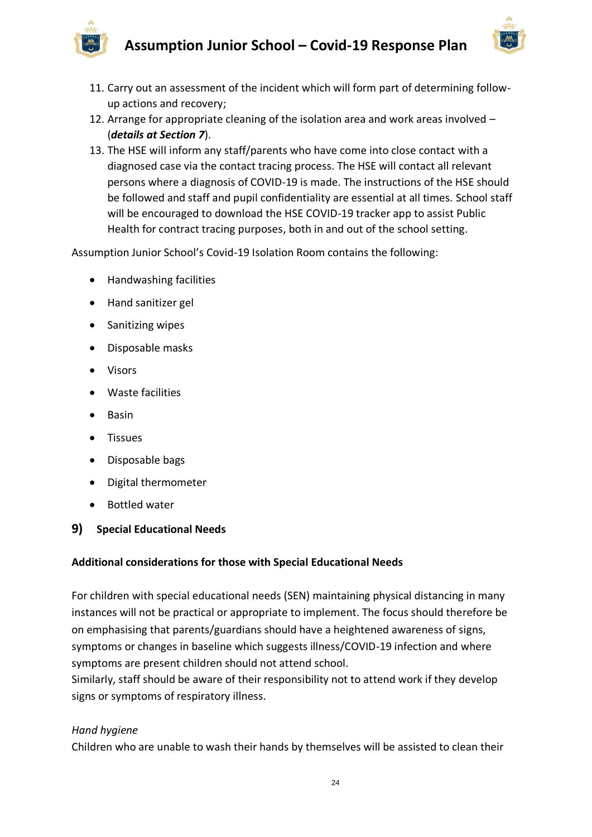

- 11. Carry out an assessment of the incident which will form part of determining followup actions and recovery;
- 12. Arrange for appropriate cleaning of the isolation area and work areas involved (*details at Section 7*).
- 13. The HSE will inform any staff/parents who have come into close contact with a diagnosed case via the contact tracing process. The HSE will contact all relevant persons where a diagnosis of COVID-19 is made. The instructions of the HSE should be followed and staff and pupil confidentiality are essential at all times. School staff will be encouraged to download the HSE COVID-19 tracker app to assist Public Health for contract tracing purposes, both in and out of the school setting.

Assumption Junior School's Covid-19 Isolation Room contains the following:

- Handwashing facilities
- Hand sanitizer gel
- Sanitizing wipes
- Disposable masks
- Visors
- Waste facilities
- Basin
- Tissues
- Disposable bags
- Digital thermometer
- Bottled water
- **9) Special Educational Needs**

#### **Additional considerations for those with Special Educational Needs**

For children with special educational needs (SEN) maintaining physical distancing in many instances will not be practical or appropriate to implement. The focus should therefore be on emphasising that parents/guardians should have a heightened awareness of signs, symptoms or changes in baseline which suggests illness/COVID-19 infection and where symptoms are present children should not attend school.

Similarly, staff should be aware of their responsibility not to attend work if they develop signs or symptoms of respiratory illness.

# *Hand hygiene*

Children who are unable to wash their hands by themselves will be assisted to clean their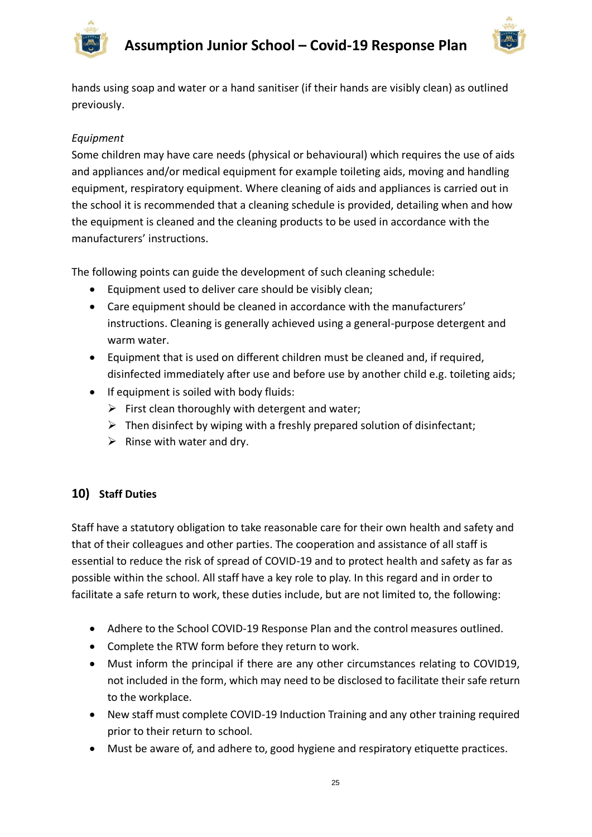

hands using soap and water or a hand sanitiser (if their hands are visibly clean) as outlined previously.

# *Equipment*

Some children may have care needs (physical or behavioural) which requires the use of aids and appliances and/or medical equipment for example toileting aids, moving and handling equipment, respiratory equipment. Where cleaning of aids and appliances is carried out in the school it is recommended that a cleaning schedule is provided, detailing when and how the equipment is cleaned and the cleaning products to be used in accordance with the manufacturers' instructions.

The following points can guide the development of such cleaning schedule:

- Equipment used to deliver care should be visibly clean;
- Care equipment should be cleaned in accordance with the manufacturers' instructions. Cleaning is generally achieved using a general-purpose detergent and warm water.
- Equipment that is used on different children must be cleaned and, if required, disinfected immediately after use and before use by another child e.g. toileting aids;
- If equipment is soiled with body fluids:
	- $\triangleright$  First clean thoroughly with detergent and water;
	- $\triangleright$  Then disinfect by wiping with a freshly prepared solution of disinfectant;
	- $\triangleright$  Rinse with water and dry.

# **10) Staff Duties**

Staff have a statutory obligation to take reasonable care for their own health and safety and that of their colleagues and other parties. The cooperation and assistance of all staff is essential to reduce the risk of spread of COVID-19 and to protect health and safety as far as possible within the school. All staff have a key role to play. In this regard and in order to facilitate a safe return to work, these duties include, but are not limited to, the following:

- Adhere to the School COVID-19 Response Plan and the control measures outlined.
- Complete the RTW form before they return to work.
- Must inform the principal if there are any other circumstances relating to COVID19, not included in the form, which may need to be disclosed to facilitate their safe return to the workplace.
- New staff must complete COVID-19 Induction Training and any other training required prior to their return to school.
- Must be aware of, and adhere to, good hygiene and respiratory etiquette practices.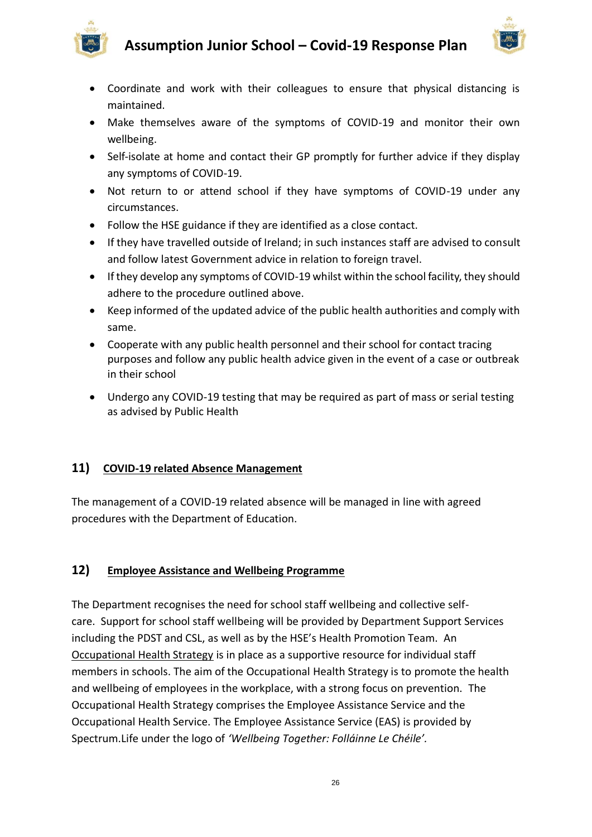



- Coordinate and work with their colleagues to ensure that physical distancing is maintained.
- Make themselves aware of the symptoms of COVID-19 and monitor their own wellbeing.
- Self-isolate at home and contact their GP promptly for further advice if they display any symptoms of COVID-19.
- Not return to or attend school if they have symptoms of COVID-19 under any circumstances.
- Follow the HSE guidance if they are identified as a close contact.
- If they have travelled outside of Ireland; in such instances staff are advised to consult and follow latest Government advice in relation to foreign travel.
- If they develop any symptoms of COVID-19 whilst within the school facility, they should adhere to the procedure outlined above.
- Keep informed of the updated advice of the public health authorities and comply with same.
- Cooperate with any public health personnel and their school for contact tracing purposes and follow any public health advice given in the event of a case or outbreak in their school
- Undergo any COVID-19 testing that may be required as part of mass or serial testing as advised by Public Health

# **11) COVID-19 related Absence Management**

The management of a COVID-19 related absence will be managed in line with agreed procedures with the Department of Education.

# **12) Employee Assistance and Wellbeing Programme**

The Department recognises the need for school staff wellbeing and collective selfcare. Support for school staff wellbeing will be provided by Department Support Services including the PDST and CSL, as well as by the HSE's Health Promotion Team. An [Occupational Health Strategy](https://www.education.ie/en/Education-Staff/Information/Occupational-Health-Strategy/) is in place as a supportive resource for individual staff members in schools. The aim of the Occupational Health Strategy is to promote the health and wellbeing of employees in the workplace, with a strong focus on prevention. The Occupational Health Strategy comprises the Employee Assistance Service and the Occupational Health Service. The Employee Assistance Service (EAS) is provided by Spectrum.Life under the logo of *'Wellbeing Together: Folláinne Le Chéile'.*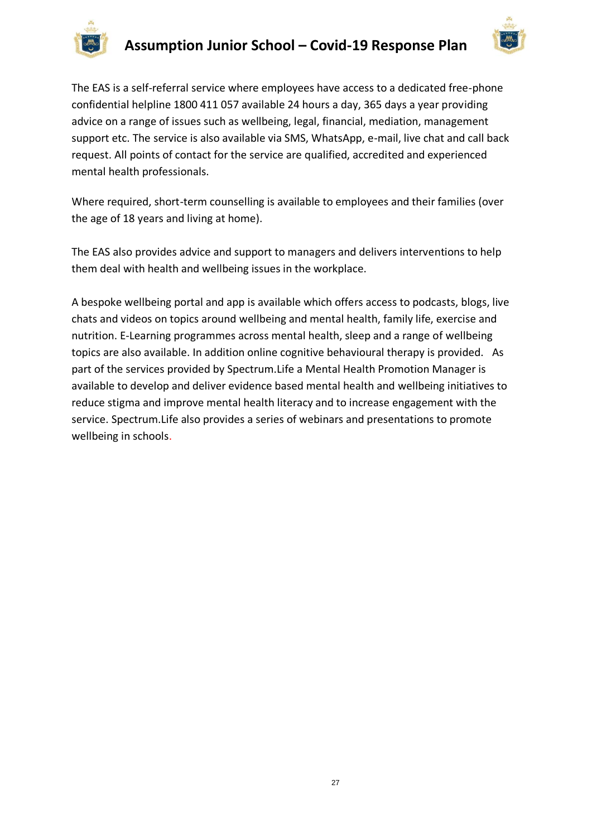



The EAS is a self-referral service where employees have access to a dedicated free-phone confidential helpline 1800 411 057 available 24 hours a day, 365 days a year providing advice on a range of issues such as wellbeing, legal, financial, mediation, management support etc. The service is also available via SMS, WhatsApp, e-mail, live chat and call back request. All points of contact for the service are qualified, accredited and experienced mental health professionals.

Where required, short-term counselling is available to employees and their families (over the age of 18 years and living at home).

The EAS also provides advice and support to managers and delivers interventions to help them deal with health and wellbeing issues in the workplace.

A bespoke wellbeing portal and app is available which offers access to podcasts, blogs, live chats and videos on topics around wellbeing and mental health, family life, exercise and nutrition. E-Learning programmes across mental health, sleep and a range of wellbeing topics are also available. In addition online cognitive behavioural therapy is provided. As part of the services provided by Spectrum.Life a Mental Health Promotion Manager is available to develop and deliver evidence based mental health and wellbeing initiatives to reduce stigma and improve mental health literacy and to increase engagement with the service. Spectrum.Life also provides a series of webinars and presentations to promote wellbeing in schools.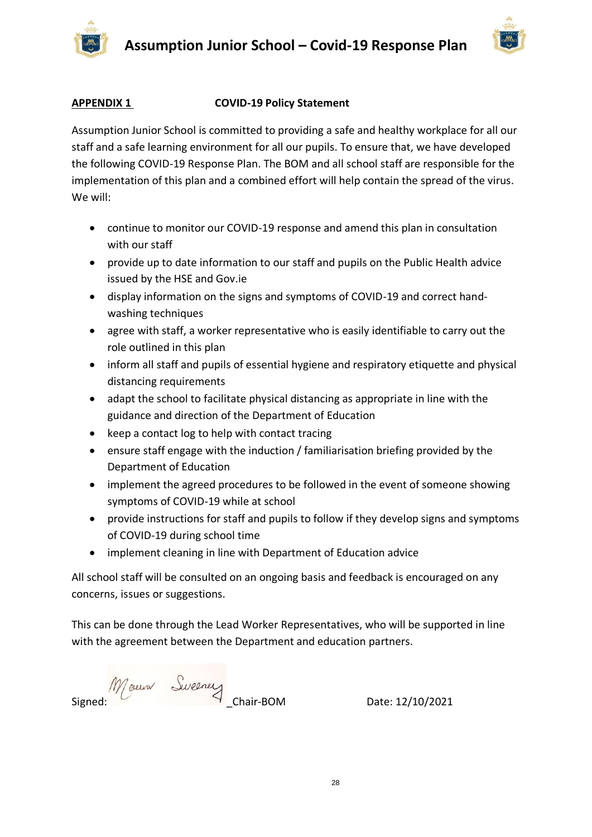



#### **APPENDIX 1 COVID-19 Policy Statement**

Assumption Junior School is committed to providing a safe and healthy workplace for all our staff and a safe learning environment for all our pupils. To ensure that, we have developed the following COVID-19 Response Plan. The BOM and all school staff are responsible for the implementation of this plan and a combined effort will help contain the spread of the virus. We will:

- continue to monitor our COVID-19 response and amend this plan in consultation with our staff
- provide up to date information to our staff and pupils on the Public Health advice issued by the HSE and Gov.ie
- display information on the signs and symptoms of COVID-19 and correct handwashing techniques
- agree with staff, a worker representative who is easily identifiable to carry out the role outlined in this plan
- inform all staff and pupils of essential hygiene and respiratory etiquette and physical distancing requirements
- adapt the school to facilitate physical distancing as appropriate in line with the guidance and direction of the Department of Education
- keep a contact log to help with contact tracing
- ensure staff engage with the induction / familiarisation briefing provided by the Department of Education
- implement the agreed procedures to be followed in the event of someone showing symptoms of COVID-19 while at school
- provide instructions for staff and pupils to follow if they develop signs and symptoms of COVID-19 during school time
- implement cleaning in line with Department of Education advice

All school staff will be consulted on an ongoing basis and feedback is encouraged on any concerns, issues or suggestions.

This can be done through the Lead Worker Representatives, who will be supported in line with the agreement between the Department and education partners.

Maura Sweeney<br>Chair-BOM Date: 12/10/2021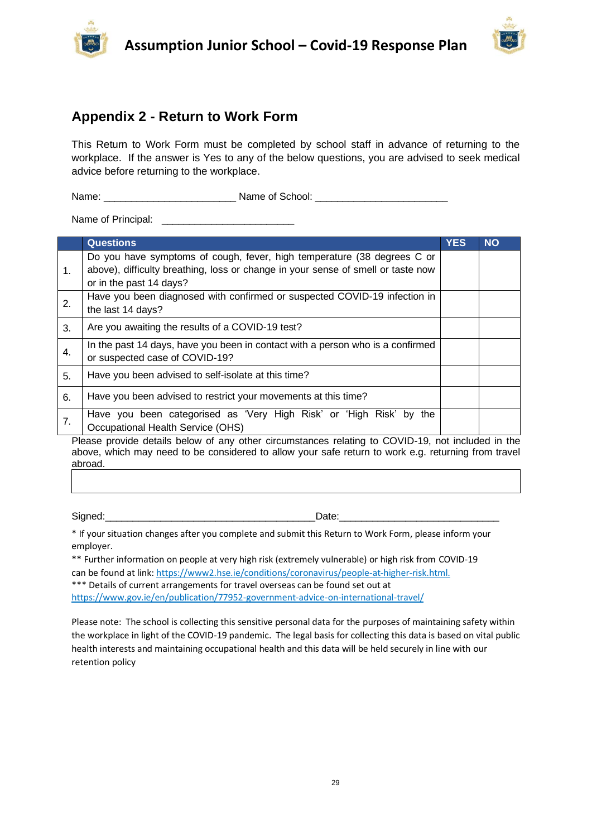



# **Appendix 2 - Return to Work Form**

This Return to Work Form must be completed by school staff in advance of returning to the workplace. If the answer is Yes to any of the below questions, you are advised to seek medical advice before returning to the workplace.

Name: \_\_\_\_\_\_\_\_\_\_\_\_\_\_\_\_\_\_\_\_\_\_\_\_ Name of School: \_\_\_\_\_\_\_\_\_\_\_\_\_\_\_\_\_\_\_\_\_\_\_\_

Name of Principal: \_\_\_\_\_\_\_\_\_\_\_\_\_\_\_\_\_\_\_\_\_\_\_\_

|    | <b>Questions</b>                                                                                                                                                                       | <b>YES</b> | <b>NO</b> |
|----|----------------------------------------------------------------------------------------------------------------------------------------------------------------------------------------|------------|-----------|
| 1. | Do you have symptoms of cough, fever, high temperature (38 degrees C or<br>above), difficulty breathing, loss or change in your sense of smell or taste now<br>or in the past 14 days? |            |           |
| 2. | Have you been diagnosed with confirmed or suspected COVID-19 infection in<br>the last 14 days?                                                                                         |            |           |
| 3. | Are you awaiting the results of a COVID-19 test?                                                                                                                                       |            |           |
| 4. | In the past 14 days, have you been in contact with a person who is a confirmed<br>or suspected case of COVID-19?                                                                       |            |           |
| 5. | Have you been advised to self-isolate at this time?                                                                                                                                    |            |           |
| 6. | Have you been advised to restrict your movements at this time?                                                                                                                         |            |           |
| 7. | Have you been categorised as 'Very High Risk' or 'High Risk' by<br>the<br>Occupational Health Service (OHS)                                                                            |            |           |

Please provide details below of any other circumstances relating to COVID-19, not included in the above, which may need to be considered to allow your safe return to work e.g. returning from travel abroad.

Signed:<br>
Signed:  $\Box$ 

\* If your situation changes after you complete and submit this Return to Work Form, please inform your employer.

\*\* Further information on people at very high risk (extremely vulnerable) or high risk from COVID-19 can be found at link[: https://www2.hse.ie/conditions/coronavirus/people-at-higher-risk.html.](https://www2.hse.ie/conditions/covid19/people-at-higher-risk/overview/)  \*\*\* Details of current arrangements for travel overseas can be found set out at <https://www.gov.ie/en/publication/77952-government-advice-on-international-travel/>

Please note: The school is collecting this sensitive personal data for the purposes of maintaining safety within the workplace in light of the COVID-19 pandemic. The legal basis for collecting this data is based on vital public health interests and maintaining occupational health and this data will be held securely in line with our retention policy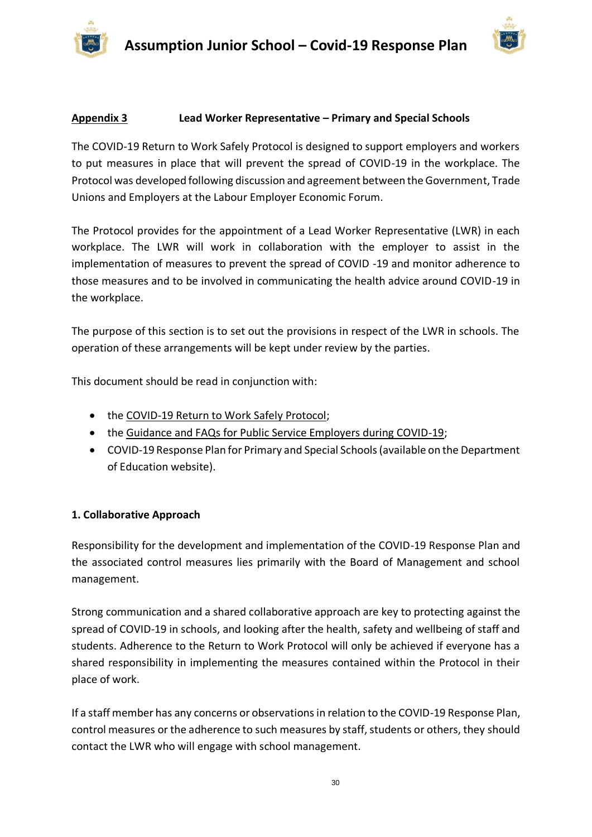



#### **Appendix 3 Lead Worker Representative – Primary and Special Schools**

The COVID-19 Return to Work Safely Protocol is designed to support employers and workers to put measures in place that will prevent the spread of COVID-19 in the workplace. The Protocol was developed following discussion and agreement between the Government, Trade Unions and Employers at the Labour Employer Economic Forum.

The Protocol provides for the appointment of a Lead Worker Representative (LWR) in each workplace. The LWR will work in collaboration with the employer to assist in the implementation of measures to prevent the spread of COVID -19 and monitor adherence to those measures and to be involved in communicating the health advice around COVID-19 in the workplace.

The purpose of this section is to set out the provisions in respect of the LWR in schools. The operation of these arrangements will be kept under review by the parties.

This document should be read in conjunction with:

- the [COVID-19 Return to Work Safely Protocol;](https://www.gov.ie/en/publication/22829a-return-to-work-safely-protocol/)
- the [Guidance and FAQs for Public Service Employers during COVID-19;](https://www.gov.ie/en/news/092fff-update-on-working-arrangements-and-leave-associated-with-covid-19-fo/)
- COVID-19 Response Plan for Primary and Special Schools (available on the Department of Education website).

#### **1. Collaborative Approach**

Responsibility for the development and implementation of the COVID-19 Response Plan and the associated control measures lies primarily with the Board of Management and school management.

Strong communication and a shared collaborative approach are key to protecting against the spread of COVID-19 in schools, and looking after the health, safety and wellbeing of staff and students. Adherence to the Return to Work Protocol will only be achieved if everyone has a shared responsibility in implementing the measures contained within the Protocol in their place of work.

If a staff member has any concerns or observations in relation to the COVID-19 Response Plan, control measures or the adherence to such measures by staff, students or others, they should contact the LWR who will engage with school management.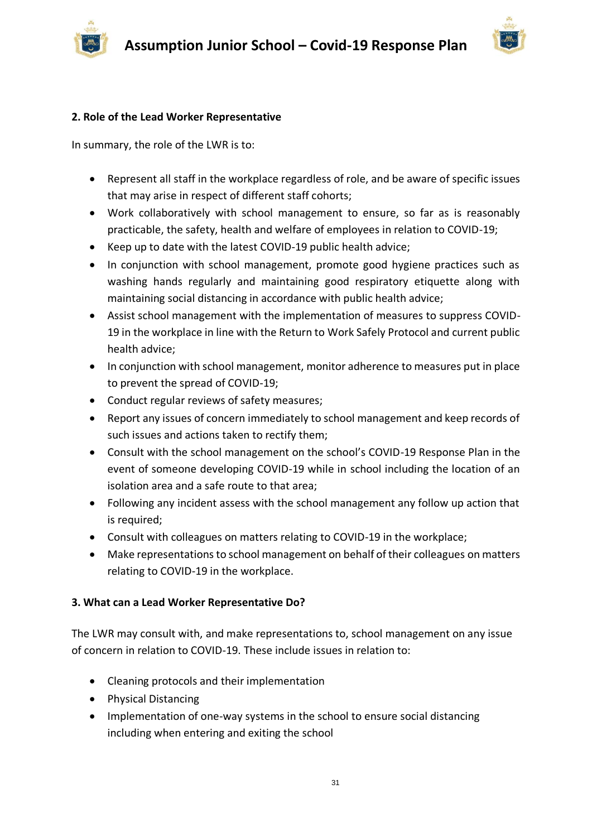

#### **2. Role of the Lead Worker Representative**

In summary, the role of the LWR is to:

- Represent all staff in the workplace regardless of role, and be aware of specific issues that may arise in respect of different staff cohorts;
- Work collaboratively with school management to ensure, so far as is reasonably practicable, the safety, health and welfare of employees in relation to COVID-19;
- Keep up to date with the latest COVID-19 public health advice;
- In conjunction with school management, promote good hygiene practices such as washing hands regularly and maintaining good respiratory etiquette along with maintaining social distancing in accordance with public health advice;
- Assist school management with the implementation of measures to suppress COVID-19 in the workplace in line with the Return to Work Safely Protocol and current public health advice;
- In conjunction with school management, monitor adherence to measures put in place to prevent the spread of COVID-19;
- Conduct regular reviews of safety measures;
- Report any issues of concern immediately to school management and keep records of such issues and actions taken to rectify them;
- Consult with the school management on the school's COVID-19 Response Plan in the event of someone developing COVID-19 while in school including the location of an isolation area and a safe route to that area;
- Following any incident assess with the school management any follow up action that is required;
- Consult with colleagues on matters relating to COVID-19 in the workplace;
- Make representations to school management on behalf of their colleagues on matters relating to COVID-19 in the workplace.

# **3. What can a Lead Worker Representative Do?**

The LWR may consult with, and make representations to, school management on any issue of concern in relation to COVID-19. These include issues in relation to:

- Cleaning protocols and their implementation
- Physical Distancing
- Implementation of one-way systems in the school to ensure social distancing including when entering and exiting the school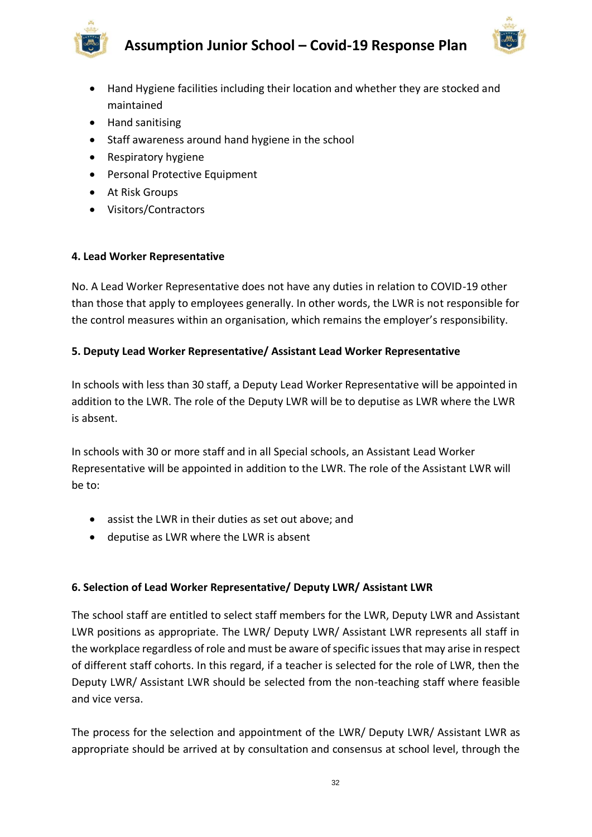



- Hand Hygiene facilities including their location and whether they are stocked and maintained
- Hand sanitising
- Staff awareness around hand hygiene in the school
- Respiratory hygiene
- Personal Protective Equipment
- At Risk Groups
- Visitors/Contractors

#### **4. Lead Worker Representative**

No. A Lead Worker Representative does not have any duties in relation to COVID-19 other than those that apply to employees generally. In other words, the LWR is not responsible for the control measures within an organisation, which remains the employer's responsibility.

# **5. Deputy Lead Worker Representative/ Assistant Lead Worker Representative**

In schools with less than 30 staff, a Deputy Lead Worker Representative will be appointed in addition to the LWR. The role of the Deputy LWR will be to deputise as LWR where the LWR is absent.

In schools with 30 or more staff and in all Special schools, an Assistant Lead Worker Representative will be appointed in addition to the LWR. The role of the Assistant LWR will be to:

- assist the LWR in their duties as set out above; and
- deputise as LWR where the LWR is absent

# **6. Selection of Lead Worker Representative/ Deputy LWR/ Assistant LWR**

The school staff are entitled to select staff members for the LWR, Deputy LWR and Assistant LWR positions as appropriate. The LWR/ Deputy LWR/ Assistant LWR represents all staff in the workplace regardless of role and must be aware of specific issues that may arise in respect of different staff cohorts. In this regard, if a teacher is selected for the role of LWR, then the Deputy LWR/ Assistant LWR should be selected from the non-teaching staff where feasible and vice versa.

The process for the selection and appointment of the LWR/ Deputy LWR/ Assistant LWR as appropriate should be arrived at by consultation and consensus at school level, through the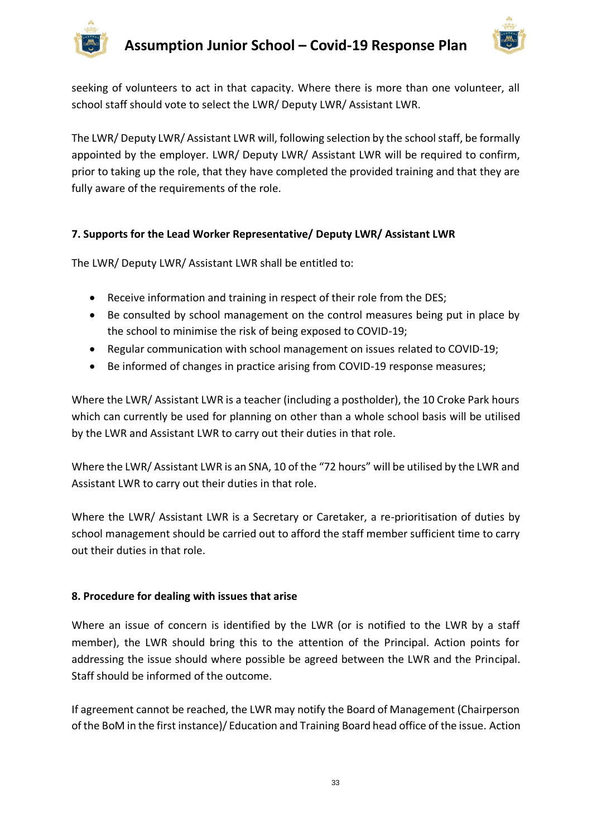

seeking of volunteers to act in that capacity. Where there is more than one volunteer, all school staff should vote to select the LWR/ Deputy LWR/ Assistant LWR.

The LWR/ Deputy LWR/ Assistant LWR will, following selection by the school staff, be formally appointed by the employer. LWR/ Deputy LWR/ Assistant LWR will be required to confirm, prior to taking up the role, that they have completed the provided training and that they are fully aware of the requirements of the role.

# **7. Supports for the Lead Worker Representative/ Deputy LWR/ Assistant LWR**

The LWR/ Deputy LWR/ Assistant LWR shall be entitled to:

- Receive information and training in respect of their role from the DES;
- Be consulted by school management on the control measures being put in place by the school to minimise the risk of being exposed to COVID-19;
- Regular communication with school management on issues related to COVID-19;
- Be informed of changes in practice arising from COVID-19 response measures;

Where the LWR/ Assistant LWR is a teacher (including a postholder), the 10 Croke Park hours which can currently be used for planning on other than a whole school basis will be utilised by the LWR and Assistant LWR to carry out their duties in that role.

Where the LWR/ Assistant LWR is an SNA, 10 of the "72 hours" will be utilised by the LWR and Assistant LWR to carry out their duties in that role.

Where the LWR/ Assistant LWR is a Secretary or Caretaker, a re-prioritisation of duties by school management should be carried out to afford the staff member sufficient time to carry out their duties in that role.

# **8. Procedure for dealing with issues that arise**

Where an issue of concern is identified by the LWR (or is notified to the LWR by a staff member), the LWR should bring this to the attention of the Principal. Action points for addressing the issue should where possible be agreed between the LWR and the Principal. Staff should be informed of the outcome.

If agreement cannot be reached, the LWR may notify the Board of Management (Chairperson of the BoM in the first instance)/ Education and Training Board head office of the issue. Action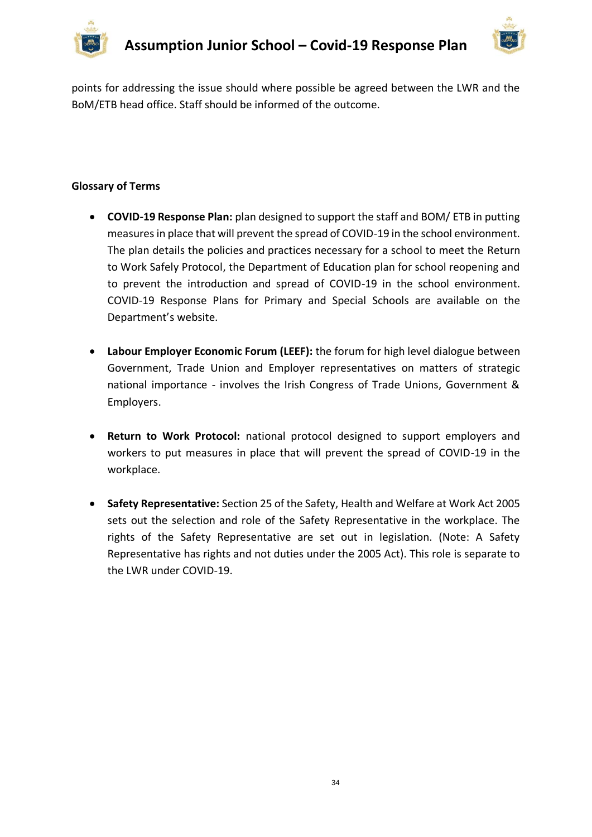



points for addressing the issue should where possible be agreed between the LWR and the BoM/ETB head office. Staff should be informed of the outcome.

#### **Glossary of Terms**

- **COVID-19 Response Plan:** plan designed to support the staff and BOM/ ETB in putting measures in place that will prevent the spread of COVID-19 in the school environment. The plan details the policies and practices necessary for a school to meet the Return to Work Safely Protocol, the Department of Education plan for school reopening and to prevent the introduction and spread of COVID-19 in the school environment. COVID-19 Response Plans for Primary and Special Schools are available on the Department's website.
- **Labour Employer Economic Forum (LEEF):** the forum for high level dialogue between Government, Trade Union and Employer representatives on matters of strategic national importance - involves the Irish Congress of Trade Unions, Government & Employers.
- **Return to Work Protocol:** national protocol designed to support employers and workers to put measures in place that will prevent the spread of COVID-19 in the workplace.
- **Safety Representative:** Section 25 of the Safety, Health and Welfare at Work Act 2005 sets out the selection and role of the Safety Representative in the workplace. The rights of the Safety Representative are set out in legislation. (Note: A Safety Representative has rights and not duties under the 2005 Act). This role is separate to the LWR under COVID-19.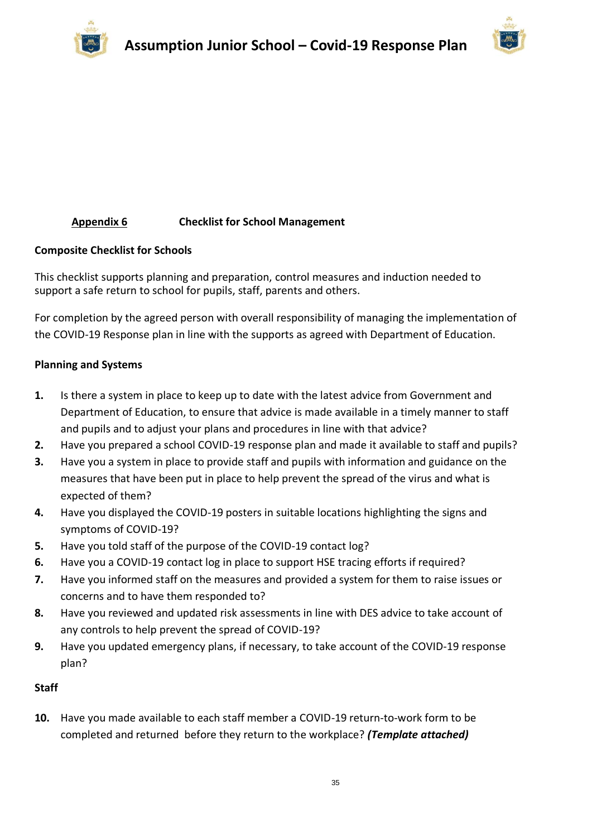



# **Appendix 6 Checklist for School Management**

#### **Composite Checklist for Schools**

This checklist supports planning and preparation, control measures and induction needed to support a safe return to school for pupils, staff, parents and others.

For completion by the agreed person with overall responsibility of managing the implementation of the COVID-19 Response plan in line with the supports as agreed with Department of Education.

#### **Planning and Systems**

- **1.** Is there a system in place to keep up to date with the latest advice from Government and Department of Education, to ensure that advice is made available in a timely manner to staff and pupils and to adjust your plans and procedures in line with that advice?
- **2.** Have you prepared a school COVID-19 response plan and made it available to staff and pupils?
- **3.** Have you a system in place to provide staff and pupils with information and guidance on the measures that have been put in place to help prevent the spread of the virus and what is expected of them?
- **4.** Have you displayed the COVID-19 posters in suitable locations highlighting the signs and symptoms of COVID-19?
- **5.** Have you told staff of the purpose of the COVID-19 contact log?
- **6.** Have you a COVID-19 contact log in place to support HSE tracing efforts if required?
- **7.** Have you informed staff on the measures and provided a system for them to raise issues or concerns and to have them responded to?
- **8.** Have you reviewed and updated risk assessments in line with DES advice to take account of any controls to help prevent the spread of COVID-19?
- **9.** Have you updated emergency plans, if necessary, to take account of the COVID-19 response plan?

#### **Staff**

**10.** Have you made available to each staff member a COVID-19 return-to-work form to be completed and returned before they return to the workplace? *(Template attached)*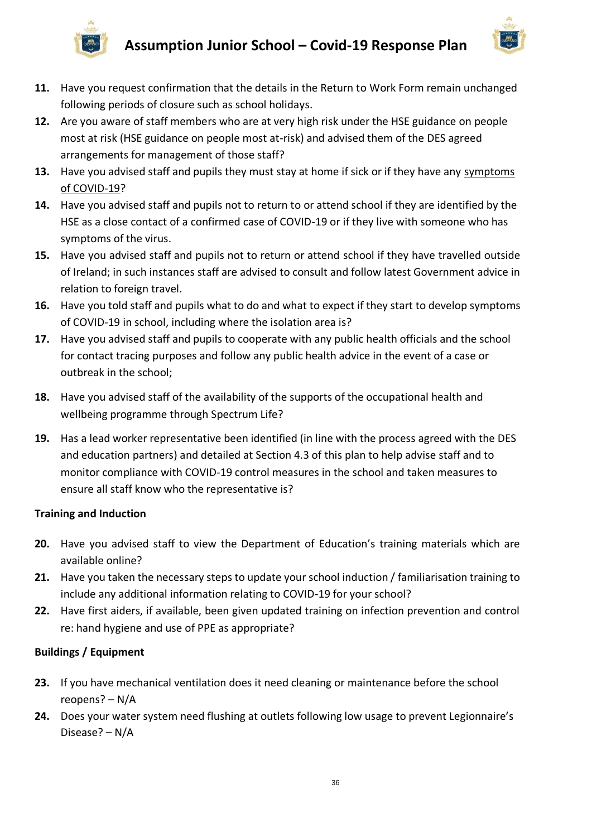



- **11.** Have you request confirmation that the details in the Return to Work Form remain unchanged following periods of closure such as school holidays.
- **12.** Are you aware of staff members who are at very high risk under the HSE guidance on people most at risk (HSE guidance on people most at-risk) and advised them of the DES agreed arrangements for management of those staff?
- **13.** Have you advised staff and pupils they must stay at home if sick or if they have any [symptoms](https://www2.hse.ie/conditions/coronavirus/symptoms.html)  [of COVID-19?](https://www2.hse.ie/conditions/coronavirus/symptoms.html)
- **14.** Have you advised staff and pupils not to return to or attend school if they are identified by the HSE as a close contact of a confirmed case of COVID-19 or if they live with someone who has symptoms of the virus.
- **15.** Have you advised staff and pupils not to return or attend school if they have travelled outside of Ireland; in such instances staff are advised to consult and follow latest Government advice in relation to foreign travel.
- **16.** Have you told staff and pupils what to do and what to expect if they start to develop symptoms of COVID-19 in school, including where the isolation area is?
- **17.** Have you advised staff and pupils to cooperate with any public health officials and the school for contact tracing purposes and follow any public health advice in the event of a case or outbreak in the school;
- **18.** Have you advised staff of the availability of the supports of the occupational health and wellbeing programme through Spectrum Life?
- **19.** Has a lead worker representative been identified (in line with the process agreed with the DES and education partners) and detailed at Section 4.3 of this plan to help advise staff and to monitor compliance with COVID-19 control measures in the school and taken measures to ensure all staff know who the representative is?

# **Training and Induction**

- **20.** Have you advised staff to view the Department of Education's training materials which are available online?
- **21.** Have you taken the necessary steps to update your school induction / familiarisation training to include any additional information relating to COVID-19 for your school?
- **22.** Have first aiders, if available, been given updated training on infection prevention and control re: hand hygiene and use of PPE as appropriate?

# **Buildings / Equipment**

- **23.** If you have mechanical ventilation does it need cleaning or maintenance before the school reopens? – N/A
- **24.** Does your water system need flushing at outlets following low usage to prevent Legionnaire's Disease? – N/A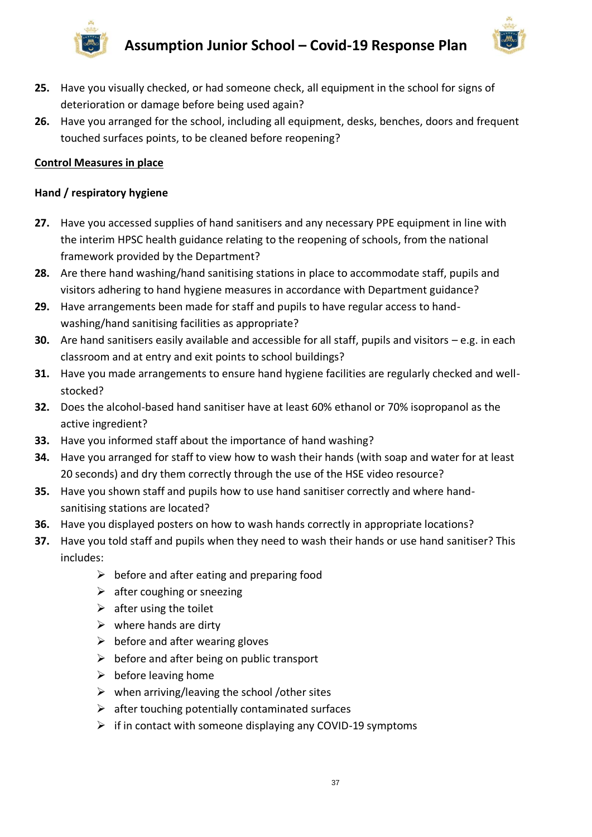





- **25.** Have you visually checked, or had someone check, all equipment in the school for signs of deterioration or damage before being used again?
- **26.** Have you arranged for the school, including all equipment, desks, benches, doors and frequent touched surfaces points, to be cleaned before reopening?

#### **Control Measures in place**

#### **Hand / respiratory hygiene**

- **27.** Have you accessed supplies of hand sanitisers and any necessary PPE equipment in line with the interim HPSC health guidance relating to the reopening of schools, from the national framework provided by the Department?
- **28.** Are there hand washing/hand sanitising stations in place to accommodate staff, pupils and visitors adhering to hand hygiene measures in accordance with Department guidance?
- **29.** Have arrangements been made for staff and pupils to have regular access to handwashing/hand sanitising facilities as appropriate?
- **30.** Are hand sanitisers easily available and accessible for all staff, pupils and visitors e.g. in each classroom and at entry and exit points to school buildings?
- **31.** Have you made arrangements to ensure hand hygiene facilities are regularly checked and wellstocked?
- **32.** Does the alcohol-based hand sanitiser have at least 60% ethanol or 70% isopropanol as the active ingredient?
- **33.** Have you informed staff about the importance of hand washing?
- **34.** Have you arranged for staff to view [how to wash their hands](https://www2.hse.ie/wellbeing/how-to-wash-your-hands.html) (with soap and water for at least 20 seconds) and dry them correctly through the use of the HSE video resource?
- **35.** Have you shown staff and pupils how to use hand sanitiser correctly and where handsanitising stations are located?
- **36.** Have you [displayed posters](https://www.gov.ie/en/collection/ee0781-covid-19-posters-for-public-use/) on how to wash hands correctly in appropriate locations?
- **37.** Have you told staff and pupils when they need to wash their hands or use hand sanitiser? This includes:
	- $\triangleright$  before and after eating and preparing food
	- $\triangleright$  after coughing or sneezing
	- $\triangleright$  after using the toilet
	- $\triangleright$  where hands are dirty
	- $\triangleright$  before and after wearing gloves
	- $\triangleright$  before and after being on public transport
	- $\triangleright$  before leaving home
	- $\triangleright$  when arriving/leaving the school /other sites
	- $\triangleright$  after touching potentially contaminated surfaces
	- $\triangleright$  if in contact with someone displaying any COVID-19 symptoms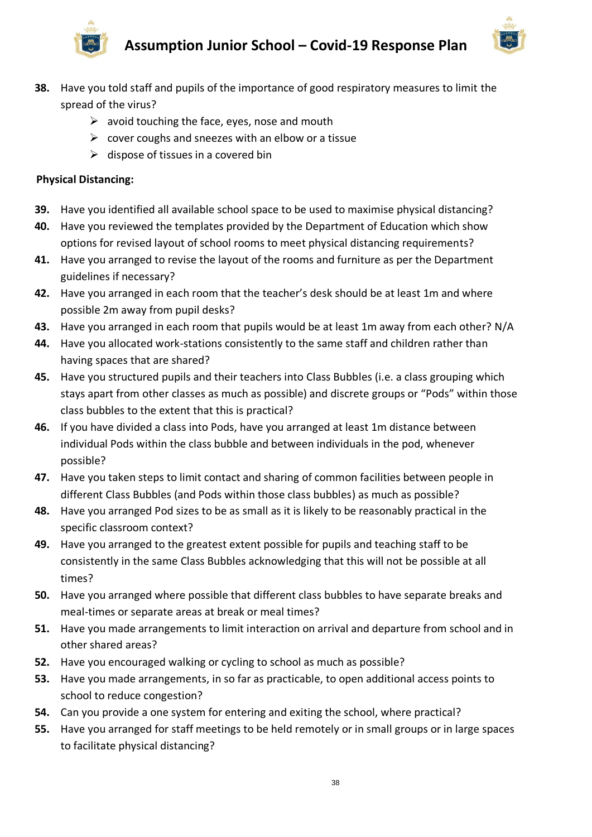



- **38.** Have you told staff and pupils of the importance of good respiratory measures to limit the spread of the virus?
	- $\triangleright$  avoid touching the face, eyes, nose and mouth
	- $\triangleright$  cover coughs and sneezes with an elbow or a tissue
	- $\triangleright$  dispose of tissues in a covered bin

#### **Physical Distancing:**

- **39.** Have you identified all available school space to be used to maximise physical distancing?
- **40.** Have you reviewed the templates provided by the Department of Education which show options for revised layout of school rooms to meet physical distancing requirements?
- **41.** Have you arranged to revise the layout of the rooms and furniture as per the Department guidelines if necessary?
- **42.** Have you arranged in each room that the teacher's desk should be at least 1m and where possible 2m away from pupil desks?
- **43.** Have you arranged in each room that pupils would be at least 1m away from each other? N/A
- **44.** Have you allocated work-stations consistently to the same staff and children rather than having spaces that are shared?
- **45.** Have you structured pupils and their teachers into Class Bubbles (i.e. a class grouping which stays apart from other classes as much as possible) and discrete groups or "Pods" within those class bubbles to the extent that this is practical?
- **46.** If you have divided a class into Pods, have you arranged at least 1m distance between individual Pods within the class bubble and between individuals in the pod, whenever possible?
- **47.** Have you taken steps to limit contact and sharing of common facilities between people in different Class Bubbles (and Pods within those class bubbles) as much as possible?
- **48.** Have you arranged Pod sizes to be as small as it is likely to be reasonably practical in the specific classroom context?
- **49.** Have you arranged to the greatest extent possible for pupils and teaching staff to be consistently in the same Class Bubbles acknowledging that this will not be possible at all times?
- **50.** Have you arranged where possible that different class bubbles to have separate breaks and meal-times or separate areas at break or meal times?
- **51.** Have you made arrangements to limit interaction on arrival and departure from school and in other shared areas?
- **52.** Have you encouraged walking or cycling to school as much as possible?
- **53.** Have you made arrangements, in so far as practicable, to open additional access points to school to reduce congestion?
- **54.** Can you provide a one system for entering and exiting the school, where practical?
- **55.** Have you arranged for staff meetings to be held remotely or in small groups or in large spaces to facilitate physical distancing?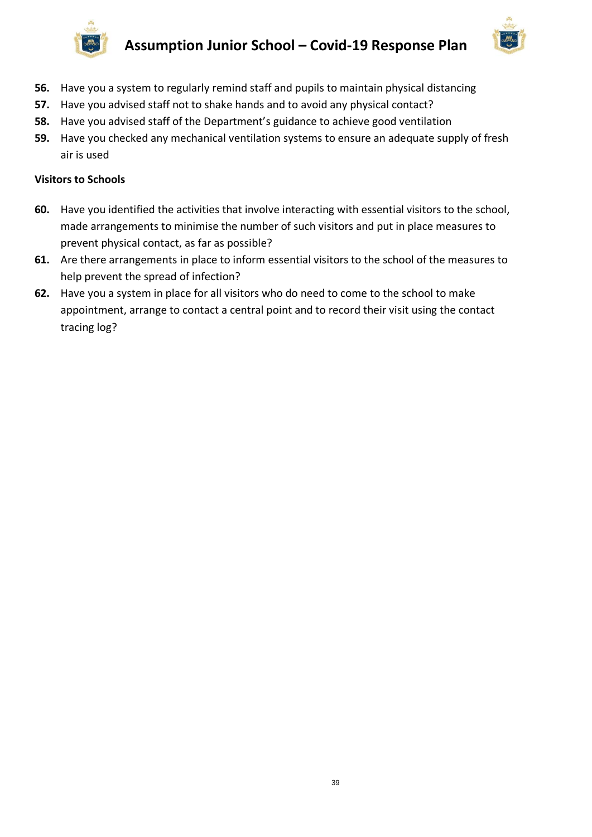



- **56.** Have you a system to regularly remind staff and pupils to maintain physical distancing
- **57.** Have you advised staff not to shake hands and to avoid any physical contact?
- **58.** Have you advised staff of the Department's guidance to achieve good ventilation
- **59.** Have you checked any mechanical ventilation systems to ensure an adequate supply of fresh air is used

#### **Visitors to Schools**

- **60.** Have you identified the activities that involve interacting with essential visitors to the school, made arrangements to minimise the number of such visitors and put in place measures to prevent physical contact, as far as possible?
- **61.** Are there arrangements in place to inform essential visitors to the school of the measures to help prevent the spread of infection?
- **62.** Have you a system in place for all visitors who do need to come to the school to make appointment, arrange to contact a central point and to record their visit using the contact tracing log?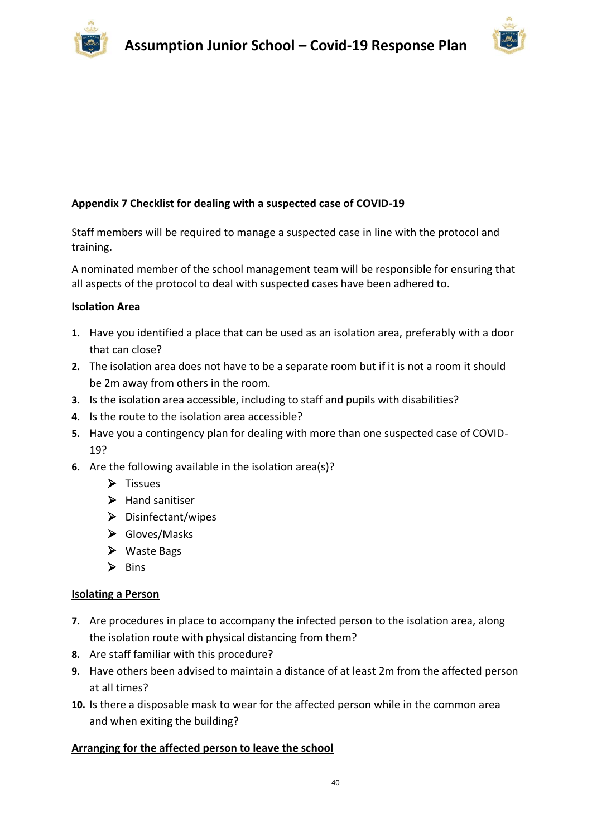

# **Appendix 7 Checklist for dealing with a suspected case of COVID-19**

Staff members will be required to manage a suspected case in line with the protocol and training.

A nominated member of the school management team will be responsible for ensuring that all aspects of the protocol to deal with suspected cases have been adhered to.

#### **Isolation Area**

- **1.** Have you identified a place that can be used as an isolation area, preferably with a door that can close?
- **2.** The isolation area does not have to be a separate room but if it is not a room it should be 2m away from others in the room.
- **3.** Is the isolation area accessible, including to staff and pupils with disabilities?
- **4.** Is the route to the isolation area accessible?
- **5.** Have you a contingency plan for dealing with more than one suspected case of COVID-19?
- **6.** Are the following available in the isolation area(s)?
	- ➢ Tissues
	- ➢ Hand sanitiser
	- ➢ Disinfectant/wipes
	- ➢ Gloves/Masks
	- ➢ Waste Bags
	- ➢ Bins

#### **Isolating a Person**

- **7.** Are procedures in place to accompany the infected person to the isolation area, along the isolation route with physical distancing from them?
- **8.** Are staff familiar with this procedure?
- **9.** Have others been advised to maintain a distance of at least 2m from the affected person at all times?
- **10.** Is there a disposable mask to wear for the affected person while in the common area and when exiting the building?

#### **Arranging for the affected person to leave the school**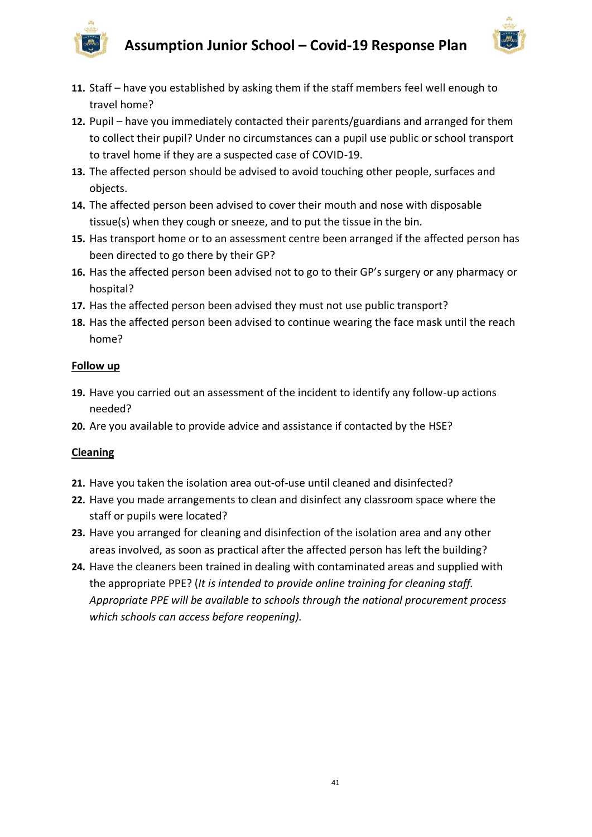



- **11.** Staff have you established by asking them if the staff members feel well enough to travel home?
- **12.** Pupil have you immediately contacted their parents/guardians and arranged for them to collect their pupil? Under no circumstances can a pupil use public or school transport to travel home if they are a suspected case of COVID-19.
- **13.** The affected person should be advised to avoid touching other people, surfaces and objects.
- **14.** The affected person been advised to cover their mouth and nose with disposable tissue(s) when they cough or sneeze, and to put the tissue in the bin.
- **15.** Has transport home or to an assessment centre been arranged if the affected person has been directed to go there by their GP?
- **16.** Has the affected person been advised not to go to their GP's surgery or any pharmacy or hospital?
- **17.** Has the affected person been advised they must not use public transport?
- **18.** Has the affected person been advised to continue wearing the face mask until the reach home?

#### **Follow up**

- **19.** Have you carried out an assessment of the incident to identify any follow-up actions needed?
- **20.** Are you available to provide advice and assistance if contacted by the HSE?

# **Cleaning**

- **21.** Have you taken the isolation area out-of-use until cleaned and disinfected?
- **22.** Have you made arrangements to clean and disinfect any classroom space where the staff or pupils were located?
- **23.** Have you arranged for cleaning and disinfection of the isolation area and any other areas involved, as soon as practical after the affected person has left the building?
- **24.** Have the cleaners been trained in dealing with contaminated areas and supplied with the appropriate PPE? (*It is intended to provide online training for cleaning staff. Appropriate PPE will be available to schools through the national procurement process which schools can access before reopening).*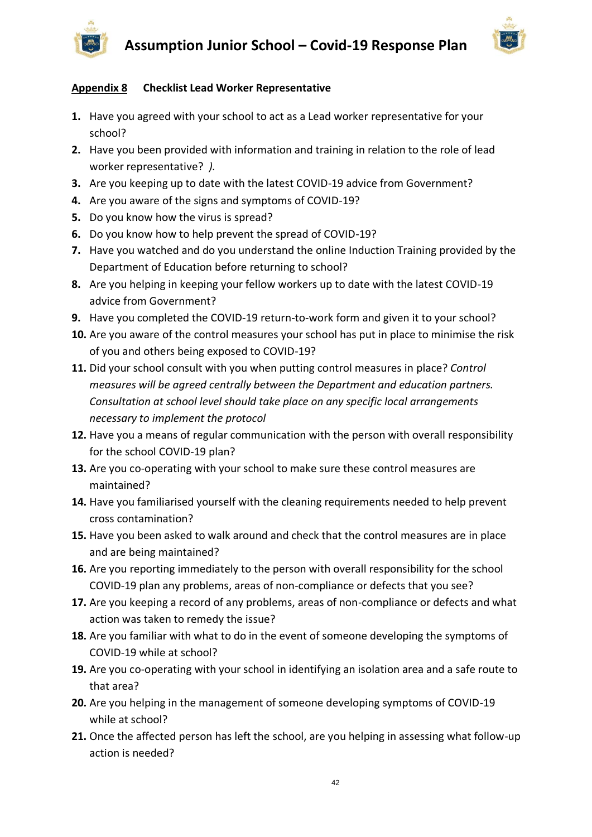



# **Appendix 8 Checklist Lead Worker Representative**

- **1.** Have you agreed with your school to act as a Lead worker representative for your school?
- **2.** Have you been provided with information and training in relation to the role of lead worker representative? *).*
- **3.** Are you keeping up to date with the latest COVID-19 advice from Government?
- **4.** Are you aware of the [signs and symptoms of COVID-19?](https://www2.hse.ie/conditions/coronavirus/symptoms.html)
- **5.** Do you know [how the virus is spread?](https://www2.hse.ie/conditions/coronavirus/how-coronavirus-is-spread.html)
- **6.** Do you know how to help prevent the spread of COVID-19?
- **7.** Have you watched and do you understand the online Induction Training provided by the Department of Education before returning to school?
- **8.** Are you helping in keeping your fellow workers up to date with the latest COVID-19 advice from Government?
- **9.** Have you completed the COVID-19 return-to-work form and given it to your school?
- **10.** Are you aware of the control measures your school has put in place to minimise the risk of you and others being exposed to COVID-19?
- **11.** Did your school consult with you when putting control measures in place? *Control measures will be agreed centrally between the Department and education partners. Consultation at school level should take place on any specific local arrangements necessary to implement the protocol*
- **12.** Have you a means of regular communication with the person with overall responsibility for the school COVID-19 plan?
- **13.** Are you co-operating with your school to make sure these control measures are maintained?
- **14.** Have you familiarised yourself with the cleaning requirements needed to help prevent cross contamination?
- **15.** Have you been asked to walk around and check that the control measures are in place and are being maintained?
- **16.** Are you reporting immediately to the person with overall responsibility for the school COVID-19 plan any problems, areas of non-compliance or defects that you see?
- **17.** Are you keeping a record of any problems, areas of non-compliance or defects and what action was taken to remedy the issue?
- **18.** Are you familiar with what to do in the event of someone developing the symptoms of COVID-19 while at school?
- **19.** Are you co-operating with your school in identifying an isolation area and a safe route to that area?
- **20.** Are you helping in the management of someone developing symptoms of COVID-19 while at school?
- **21.** Once the affected person has left the school, are you helping in assessing what follow-up action is needed?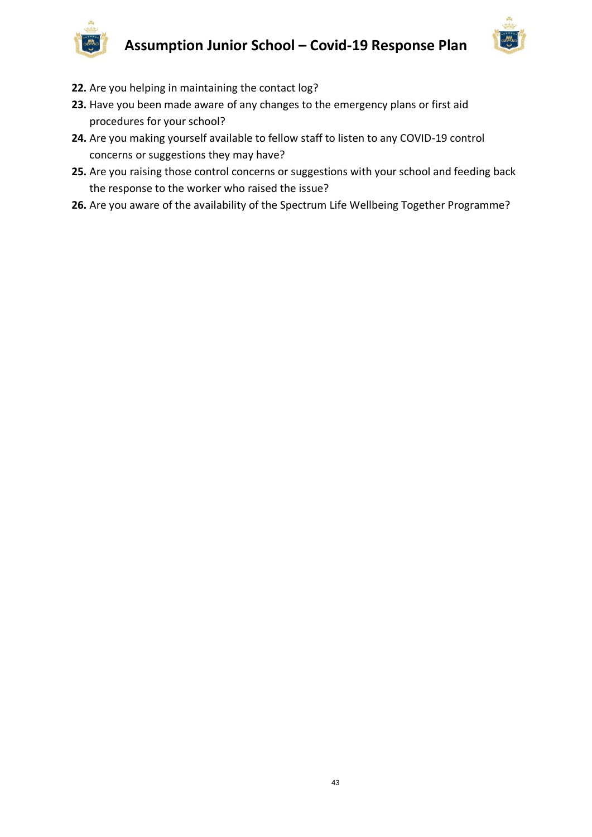

- **22.** Are you helping in maintaining the contact log?
- **23.** Have you been made aware of any changes to the emergency plans or first aid procedures for your school?
- **24.** Are you making yourself available to fellow staff to listen to any COVID-19 control concerns or suggestions they may have?
- **25.** Are you raising those control concerns or suggestions with your school and feeding back the response to the worker who raised the issue?
- **26.** Are you aware of the availability of the Spectrum Life Wellbeing Together Programme?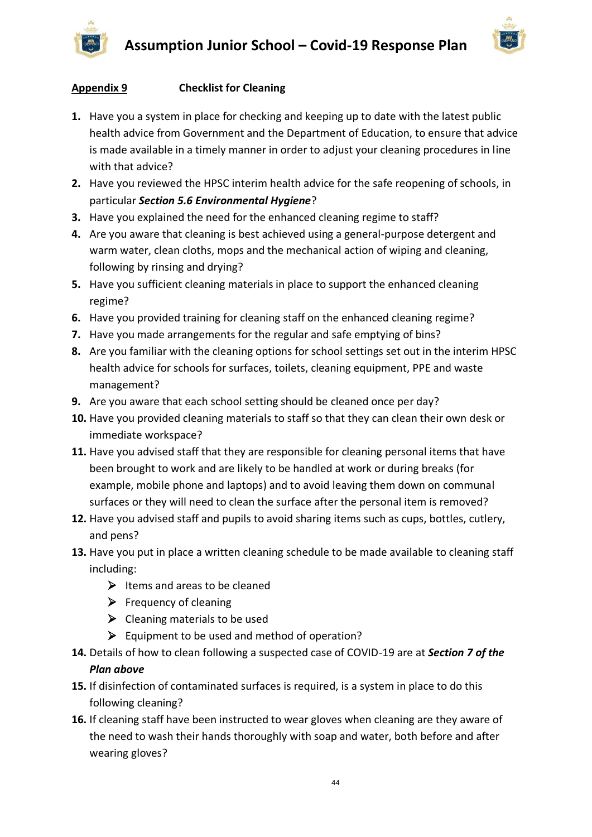



# **Appendix 9 Checklist for Cleaning**

- **1.** Have you a system in place for checking and keeping up to date with the latest public health advice from Government and the Department of Education, to ensure that advice is made available in a timely manner in order to adjust your cleaning procedures in line with that advice?
- **2.** Have you reviewed the HPSC interim health advice for the safe reopening of schools, in particular *Section 5.6 Environmental Hygiene*?
- **3.** Have you explained the need for the enhanced cleaning regime to staff?
- **4.** Are you aware that cleaning is best achieved using a general-purpose detergent and warm water, clean cloths, mops and the mechanical action of wiping and cleaning, following by rinsing and drying?
- **5.** Have you sufficient cleaning materials in place to support the enhanced cleaning regime?
- **6.** Have you provided training for cleaning staff on the enhanced cleaning regime?
- **7.** Have you made arrangements for the regular and safe emptying of bins?
- **8.** Are you familiar with the cleaning options for school settings set out in the interim HPSC health advice for schools for surfaces, toilets, cleaning equipment, PPE and waste management?
- **9.** Are you aware that each school setting should be cleaned once per day?
- **10.** Have you provided cleaning materials to staff so that they can clean their own desk or immediate workspace?
- **11.** Have you advised staff that they are responsible for cleaning personal items that have been brought to work and are likely to be handled at work or during breaks (for example, mobile phone and laptops) and to avoid leaving them down on communal surfaces or they will need to clean the surface after the personal item is removed?
- **12.** Have you advised staff and pupils to avoid sharing items such as cups, bottles, cutlery, and pens?
- **13.** Have you put in place a written cleaning schedule to be made available to cleaning staff including:
	- $\triangleright$  Items and areas to be cleaned
	- $\triangleright$  Frequency of cleaning
	- $\triangleright$  Cleaning materials to be used
	- $\triangleright$  Equipment to be used and method of operation?
- **14.** Details of how to clean following a suspected case of COVID-19 are at *Section 7 of the Plan above*
- **15.** If disinfection of contaminated surfaces is required, is a system in place to do this following cleaning?
- **16.** If cleaning staff have been instructed to wear gloves when cleaning are they aware of the need to wash their hands thoroughly with soap and water, both before and after wearing gloves?